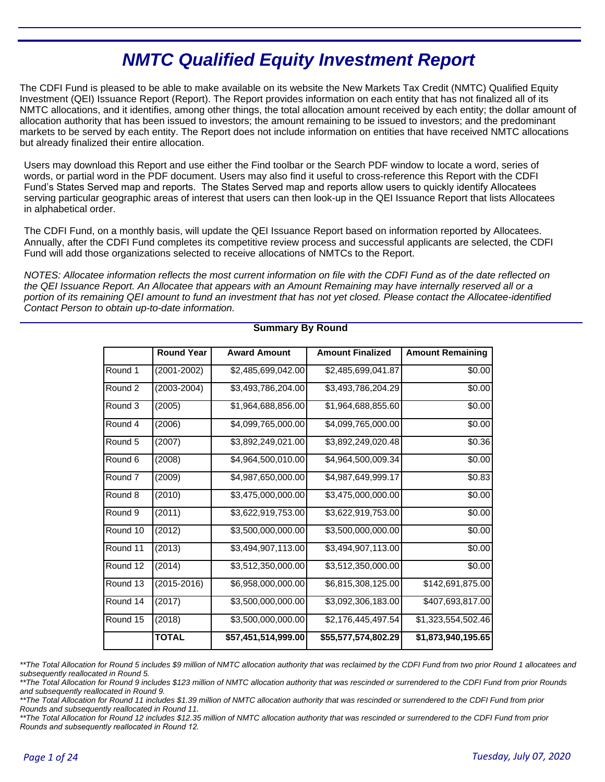# **NMTC Qualified Equity Investment Report**

The CDFI Fund is pleased to be able to make available on its website the New Markets Tax Credit (NMTC) Qualified Equity Investment (QEI) Issuance Report (Report). The Report provides information on each entity that has not finalized all of its NMTC allocations, and it identifies, among other things, the total allocation amount received by each entity; the dollar amount of allocation authority that has been issued to investors; the amount remaining to be issued to investors; and the predominant markets to be served by each entity. The Report does not include information on entities that have received NMTC allocations but already finalized their entire allocation.

Users may download this Report and use either the Find toolbar or the Search PDF window to locate a word, series of words, or partial word in the PDF document. Users may also find it useful to cross-reference this Report with the CDFI Fund's States Served map and reports. The States Served map and reports allow users to quickly identify Allocatees serving particular geographic areas of interest that users can then look-up in the QEI Issuance Report that lists Allocatees in alphabetical order.

The CDFI Fund, on a monthly basis, will update the QEI Issuance Report based on information reported by Allocatees. Annually, after the CDFI Fund completes its competitive review process and successful applicants are selected, the CDFI Fund will add those organizations selected to receive allocations of NMTCs to the Report.

NOTES: Allocatee information reflects the most current information on file with the CDFI Fund as of the date reflected on the QEI Issuance Report. An Allocatee that appears with an Amount Remaining may have internally reserved all or a portion of its remaining QEI amount to fund an investment that has not yet closed. Please contact the Allocatee-identified Contact Person to obtain up-to-date information.

|          | <b>Round Year</b> | <b>Award Amount</b> | <b>Amount Finalized</b> | <b>Amount Remaining</b> |
|----------|-------------------|---------------------|-------------------------|-------------------------|
| Round 1  | $(2001 - 2002)$   | \$2,485,699,042.00  | \$2,485,699,041.87      | \$0.00                  |
| Round 2  | $(2003 - 2004)$   | \$3,493,786,204.00  | \$3,493,786,204.29      | \$0.00                  |
| Round 3  | (2005)            | \$1,964,688,856.00  | \$1,964,688,855.60      | \$0.00                  |
| Round 4  | (2006)            | \$4,099,765,000.00  | \$4,099,765,000.00      | \$0.00                  |
| Round 5  | (2007)            | \$3,892,249,021.00  | \$3,892,249,020.48      | \$0.36                  |
| Round 6  | (2008)            | \$4,964,500,010.00  | \$4,964,500,009.34      | \$0.00                  |
| Round 7  | (2009)            | \$4,987,650,000.00  | \$4,987,649,999.17      | \$0.83                  |
| Round 8  | (2010)            | \$3,475,000,000.00  | \$3,475,000,000.00      | \$0.00                  |
| Round 9  | (2011)            | \$3,622,919,753.00  | \$3,622,919,753.00      | \$0.00                  |
| Round 10 | (2012)            | \$3,500,000,000.00  | \$3,500,000,000.00      | \$0.00                  |
| Round 11 | (2013)            | \$3,494,907,113.00  | \$3,494,907,113.00      | \$0.00                  |
| Round 12 | (2014)            | \$3,512,350,000.00  | \$3,512,350,000.00      | \$0.00                  |
| Round 13 | $(2015 - 2016)$   | \$6,958,000,000.00  | \$6,815,308,125.00      | \$142,691,875.00        |
| Round 14 | (2017)            | \$3,500,000,000.00  | \$3,092,306,183.00      | \$407,693,817.00        |
| Round 15 | (2018)            | \$3,500,000,000.00  | \$2,176,445,497.54      | \$1,323,554,502.46      |
|          | <b>TOTAL</b>      | \$57,451,514,999.00 | \$55,577,574,802.29     | \$1,873,940,195.65      |

# **Summary By Round**

\*\*The Total Allocation for Round 5 includes \$9 million of NMTC allocation authority that was reclaimed by the CDFI Fund from two prior Round 1 allocatees and subsequently reallocated in Round 5.

\*\*The Total Allocation for Round 9 includes \$123 million of NMTC allocation authority that was rescinded or surrendered to the CDFI Fund from prior Rounds and subsequently reallocated in Round 9.

\*\*The Total Allocation for Round 11 includes \$1.39 million of NMTC allocation authority that was rescinded or surrendered to the CDFI Fund from prior Rounds and subsequently reallocated in Round 11.

\*\*The Total Allocation for Round 12 includes \$12.35 million of NMTC allocation authority that was rescinded or surrendered to the CDFI Fund from prior *Rounds and subsequently reallocated in Round 12.*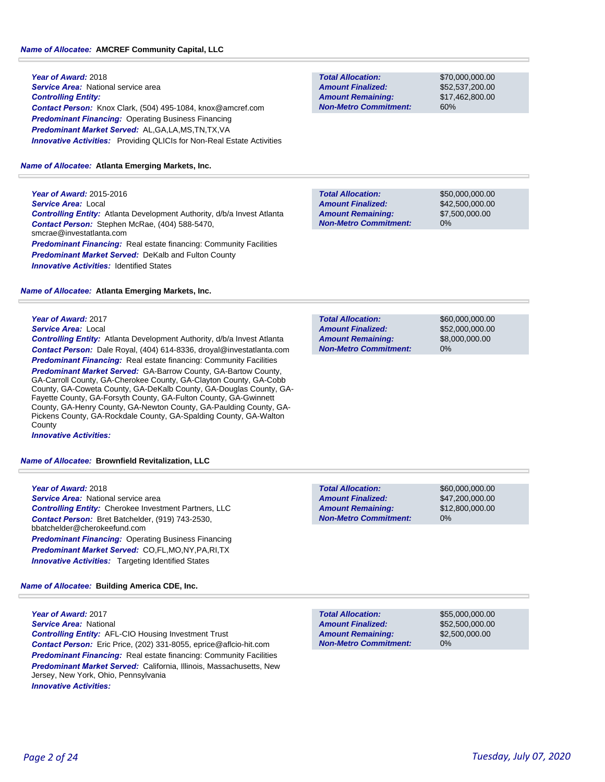#### *Name of Allocatee:* **AMCREF Community Capital, LLC**

**Year of Award:** 2018 **Service Area:** National service area *Controlling Entity: Contact Person:* Knox Clark, (504) 495-1084, knox@amcref.com *Predominant Financing:* Operating Business Financing *Predominant Market Served:* AL,GA,LA,MS,TN,TX,VA **Innovative Activities:** Providing QLICIs for Non-Real Estate Activities

#### *Name of Allocatee:* **Atlanta Emerging Markets, Inc.**

**Year of Award:** 2015-2016 *Service Area:* Local *Controlling Entity:* Atlanta Development Authority, d/b/a Invest Atlanta *Contact Person:* Stephen McRae, (404) 588-5470, smcrae@investatlanta.com *Predominant Financing:* Real estate financing: Community Facilities *Predominant Market Served:* DeKalb and Fulton County **Innovative Activities: Identified States** 

#### *Name of Allocatee:* **Atlanta Emerging Markets, Inc.**

# **Year of Award:** 2017

*Service Area:* Local

*Controlling Entity:* Atlanta Development Authority, d/b/a Invest Atlanta *Contact Person:* Dale Royal, (404) 614-8336, droyal@investatlanta.com *Predominant Financing:* Real estate financing: Community Facilities *Predominant Market Served:* GA-Barrow County, GA-Bartow County, GA-Carroll County, GA-Cherokee County, GA-Clayton County, GA-Cobb County, GA-Coweta County, GA-DeKalb County, GA-Douglas County, GA-Fayette County, GA-Forsyth County, GA-Fulton County, GA-Gwinnett County, GA-Henry County, GA-Newton County, GA-Paulding County, GA-Pickens County, GA-Rockdale County, GA-Spalding County, GA-Walton **County** 

*Innovative Activities:* 

# *Name of Allocatee:* **Brownfield Revitalization, LLC**

#### **Year of Award:** 2018

**Service Area:** National service area *Controlling Entity:* Cherokee Investment Partners, LLC *Contact Person:* Bret Batchelder, (919) 743-2530, bbatchelder@cherokeefund.com **Predominant Financing: Operating Business Financing** *Predominant Market Served:* CO,FL,MO,NY,PA,RI,TX **Innovative Activities:** Targeting Identified States

*Name of Allocatee:* **Building America CDE, Inc.**

# **Year of Award:** 2017

*Service Area:* National *Controlling Entity:* AFL-CIO Housing Investment Trust *Contact Person:* Eric Price, (202) 331-8055, eprice@aflcio-hit.com *Predominant Financing:* Real estate financing: Community Facilities *Predominant Market Served:* California, Illinois, Massachusetts, New Jersey, New York, Ohio, Pennsylvania *Innovative Activities:* 

**Total Allocation: Non-Metro Commitment: Amount Remaining: Amount Finalized:**

\$70,000,000.00 \$52,537,200.00 \$17,462,800.00 60%

**Total Allocation: Non-Metro Commitment: Amount Remaining: Amount Finalized:**

\$50,000,000.00 \$42,500,000.00 \$7,500,000.00 0%

0% **Total Allocation: Non-Metro Commitment: Amount Remaining: Amount Finalized:**

\$60,000,000.00 \$52,000,000.00 \$8,000,000.00

**Total Allocation: Non-Metro Commitment: Amount Remaining: Amount Finalized:**

\$60,000,000.00 \$47,200,000.00 \$12,800,000.00 0%

**Total Allocation: Non-Metro Commitment: Amount Remaining: Amount Finalized:**

\$55,000,000.00 \$52,500,000.00 \$2,500,000.00 0%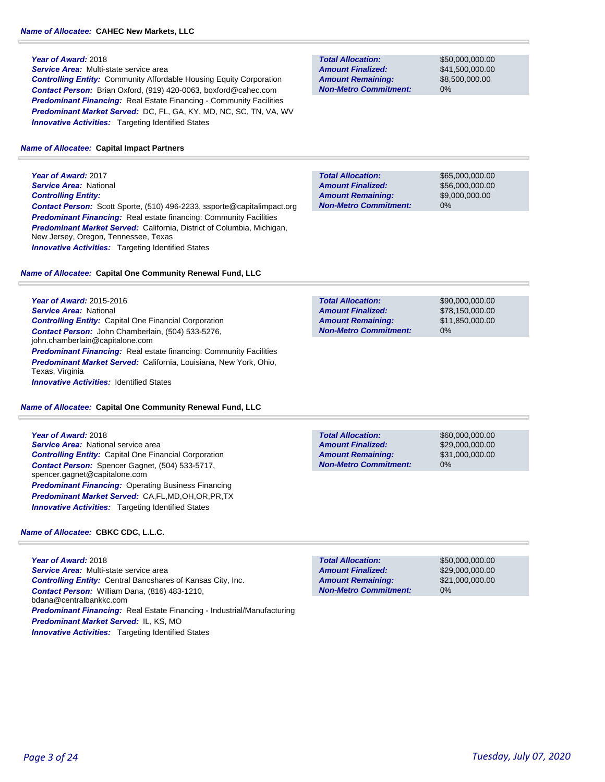#### **Year of Award:** 2018

*Service Area:* Multi-state service area *Controlling Entity:* Community Affordable Housing Equity Corporation *Contact Person:* Brian Oxford, (919) 420-0063, boxford@cahec.com *Predominant Financing:* Real Estate Financing - Community Facilities *Predominant Market Served:* DC, FL, GA, KY, MD, NC, SC, TN, VA, WV **Innovative Activities:** Targeting Identified States

#### *Name of Allocatee:* **Capital Impact Partners**

**Year of Award:** 2017 *Service Area:* National *Controlling Entity: Contact Person:* Scott Sporte, (510) 496-2233, ssporte@capitalimpact.org **Predominant Financing:** Real estate financing: Community Facilities *Predominant Market Served:* California, District of Columbia, Michigan, New Jersey, Oregon, Tennessee, Texas **Innovative Activities:** Targeting Identified States

#### *Name of Allocatee:* **Capital One Community Renewal Fund, LLC**

**Year of Award:** 2015-2016 *Service Area:* National *Controlling Entity:* Capital One Financial Corporation *Contact Person:* John Chamberlain, (504) 533-5276, john.chamberlain@capitalone.com **Predominant Financing:** Real estate financing: Community Facilities *Predominant Market Served:* California, Louisiana, New York, Ohio, Texas, Virginia *Innovative Activities:* Identified States

#### *Name of Allocatee:* **Capital One Community Renewal Fund, LLC**

**Year of Award:** 2018 **Service Area:** National service area *Controlling Entity:* Capital One Financial Corporation *Contact Person:* Spencer Gagnet, (504) 533-5717, spencer.gagnet@capitalone.com *Predominant Financing:* Operating Business Financing *Predominant Market Served:* CA,FL,MD,OH,OR,PR,TX **Innovative Activities:** Targeting Identified States

# *Name of Allocatee:* **CBKC CDC, L.L.C.**

**Year of Award:** 2018 *Service Area:* Multi-state service area *Controlling Entity:* Central Bancshares of Kansas City, Inc. *Contact Person:* William Dana, (816) 483-1210, bdana@centralbankkc.com *Predominant Financing:* Real Estate Financing - Industrial/Manufacturing *Predominant Market Served:* IL, KS, MO **Innovative Activities:** Targeting Identified States

**Total Allocation: Non-Metro Commitment: Amount Remaining: Amount Finalized:**

\$50,000,000.00 \$41,500,000.00 \$8,500,000.00 0%

**Total Allocation: Non-Metro Commitment: Amount Remaining: Amount Finalized:**

\$65,000,000.00 \$56,000,000.00 \$9,000,000.00 0%

\$90,000,000.00 \$78,150,000.00 \$11,850,000.00 0% **Total Allocation: Non-Metro Commitment: Amount Remaining: Amount Finalized:**

**Total Allocation: Non-Metro Commitment: Amount Remaining: Amount Finalized:**

\$60,000,000.00 \$29,000,000.00 \$31,000,000.00 0%

\$50,000,000.00 \$29,000,000.00 \$21,000,000.00 0% **Total Allocation: Non-Metro Commitment: Amount Remaining: Amount Finalized:**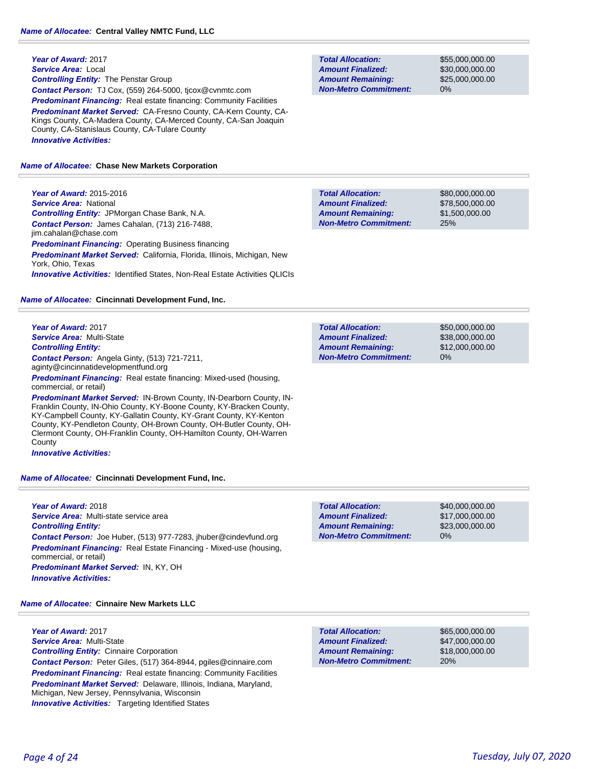**Year of Award:** 2017 *Service Area:* Local *Controlling Entity:* The Penstar Group *Contact Person:* TJ Cox, (559) 264-5000, tjcox@cvnmtc.com **Predominant Financing:** Real estate financing: Community Facilities *Predominant Market Served:* CA-Fresno County, CA-Kern County, CA-Kings County, CA-Madera County, CA-Merced County, CA-San Joaquin County, CA-Stanislaus County, CA-Tulare County *Innovative Activities:* 

*Name of Allocatee:* **Chase New Markets Corporation**

**Year of Award:** 2015-2016 *Service Area:* National *Controlling Entity:* JPMorgan Chase Bank, N.A. *Contact Person:* James Cahalan, (713) 216-7488, jim.cahalan@chase.com **Predominant Financing: Operating Business financing** *Predominant Market Served:* California, Florida, Illinois, Michigan, New York, Ohio, Texas *Innovative Activities:* Identified States, Non-Real Estate Activities QLICIs

*Name of Allocatee:* **Cincinnati Development Fund, Inc.**

**Year of Award:** 2017 *Service Area:* Multi-State *Controlling Entity: Contact Person:* Angela Ginty, (513) 721-7211, aginty@cincinnatidevelopmentfund.org **Predominant Financing:** Real estate financing: Mixed-used (housing, commercial, or retail)

**Predominant Market Served: IN-Brown County, IN-Dearborn County, IN-**Franklin County, IN-Ohio County, KY-Boone County, KY-Bracken County, KY-Campbell County, KY-Gallatin County, KY-Grant County, KY-Kenton County, KY-Pendleton County, OH-Brown County, OH-Butler County, OH-Clermont County, OH-Franklin County, OH-Hamilton County, OH-Warren **County** 

*Innovative Activities:* 

*Name of Allocatee:* **Cincinnati Development Fund, Inc.**

**Year of Award:** 2018

*Innovative Activities:* 

*Service Area:* Multi-state service area *Controlling Entity: Contact Person:* Joe Huber, (513) 977-7283, jhuber@cindevfund.org *Predominant Financing:* Real Estate Financing - Mixed-use (housing, commercial, or retail) *Predominant Market Served:* IN, KY, OH

\$23,000,000.00 0% **Non-Metro Commitment: Amount Remaining:**

**Total Allocation:**

**Amount Finalized:**

*Name of Allocatee:* **Cinnaire New Markets LLC**

**Year of Award:** 2017 *Service Area:* Multi-State *Controlling Entity:* Cinnaire Corporation *Contact Person:* Peter Giles, (517) 364-8944, pgiles@cinnaire.com **Predominant Financing:** Real estate financing: Community Facilities *Predominant Market Served:* Delaware, Illinois, Indiana, Maryland, Michigan, New Jersey, Pennsylvania, Wisconsin **Innovative Activities:** Targeting Identified States

**Total Allocation: Non-Metro Commitment: Amount Remaining: Amount Finalized:**

\$65,000,000.00 \$47,000,000.00 \$18,000,000.00 20%

\$40,000,000.00 \$17,000,000.00

**Total Allocation: Non-Metro Commitment: Amount Remaining: Amount Finalized:**

\$55,000,000.00 \$30,000,000.00 \$25,000,000.00 0%

25% **Total Allocation: Non-Metro Commitment: Amount Remaining: Amount Finalized:**

\$80,000,000.00 \$78,500,000.00 \$1,500,000.00

\$50,000,000.00 \$38,000,000.00 \$12,000,000.00 0% **Total Allocation: Non-Metro Commitment: Amount Remaining: Amount Finalized:**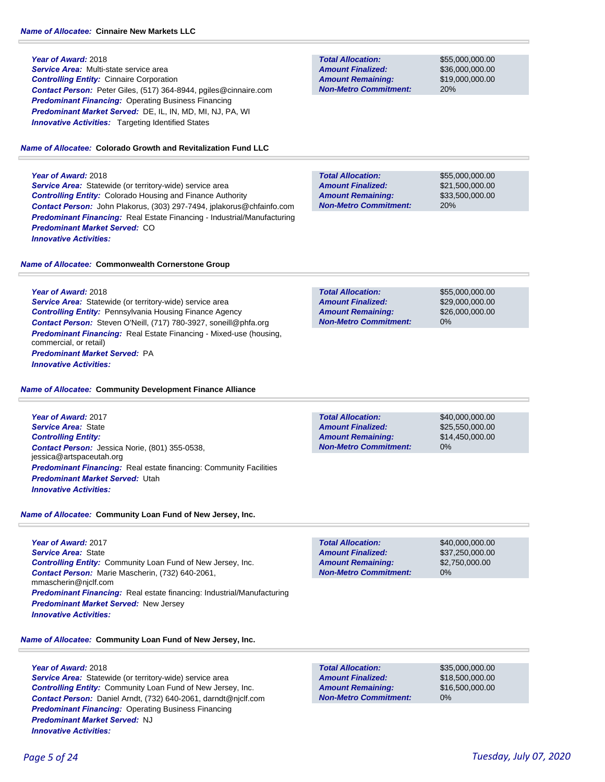# *Name of Allocatee:* **Cinnaire New Markets LLC**

# **Year of Award:** 2018

*Service Area:* Multi-state service area *Controlling Entity:* Cinnaire Corporation *Contact Person:* Peter Giles, (517) 364-8944, pgiles@cinnaire.com *Predominant Financing:* Operating Business Financing *Predominant Market Served:* DE, IL, IN, MD, MI, NJ, PA, WI **Innovative Activities:** Targeting Identified States

# *Name of Allocatee:* **Colorado Growth and Revitalization Fund LLC**

# **Year of Award:** 2018

*Service Area:* Statewide (or territory-wide) service area *Controlling Entity:* Colorado Housing and Finance Authority *Contact Person:* John Plakorus, (303) 297-7494, jplakorus@chfainfo.com *Predominant Financing:* Real Estate Financing - Industrial/Manufacturing *Predominant Market Served:* CO *Innovative Activities:* 

**Total Allocation: Non-Metro Commitment: Amount Remaining: Amount Finalized:**

**Total Allocation:**

**Total Allocation:**

**Non-Metro Commitment: Amount Remaining: Amount Finalized:**

**Non-Metro Commitment: Amount Remaining: Amount Finalized:**

**Total Allocation:**

**Non-Metro Commitment: Amount Remaining: Amount Finalized:**

> \$55,000,000.00 \$21,500,000.00 \$33,500,000.00 20%

\$55,000,000.00 \$29,000,000.00 \$26,000,000.00

\$40,000,000.00 \$25,550,000.00 \$14,450,000.00

0%

0%

\$55,000,000.00 \$36,000,000.00 \$19,000,000.00

20%

|  | Name of Allocatee: Commonwealth Cornerstone Group |
|--|---------------------------------------------------|
|  |                                                   |

#### **Year of Award:** 2018

*Service Area:* Statewide (or territory-wide) service area *Controlling Entity:* Pennsylvania Housing Finance Agency *Contact Person:* Steven O'Neill, (717) 780-3927, soneill@phfa.org *Predominant Financing:* Real Estate Financing - Mixed-use (housing, commercial, or retail) *Predominant Market Served:* PA *Innovative Activities:* 

# *Name of Allocatee:* **Community Development Finance Alliance**

| Year of Award: 2017                                                               |
|-----------------------------------------------------------------------------------|
| <b>Service Area: State</b>                                                        |
| <b>Controlling Entity:</b>                                                        |
| <b>Contact Person:</b> Jessica Norie, (801) 355-0538,<br>jessica@artspaceutah.org |
| <b>Predominant Financing:</b> Real estate financing: Community Facilities         |
| <b>Predominant Market Served: Utah</b>                                            |
| <b>Innovative Activities:</b>                                                     |

# *Name of Allocatee:* **Community Loan Fund of New Jersey, Inc.**

**Year of Award:** 2017 *Service Area:* State *Controlling Entity:* Community Loan Fund of New Jersey, Inc. *Contact Person:* Marie Mascherin, (732) 640-2061, mmascherin@njclf.com *Predominant Financing:* Real estate financing: Industrial/Manufacturing *Predominant Market Served:* New Jersey *Innovative Activities:* 

**Total Allocation: Non-Metro Commitment: Amount Remaining: Amount Finalized:**

\$40,000,000.00 \$37,250,000.00 \$2,750,000.00 0%

# *Name of Allocatee:* **Community Loan Fund of New Jersey, Inc.**

# **Year of Award:** 2018

**Service Area:** Statewide (or territory-wide) service area *Controlling Entity:* Community Loan Fund of New Jersey, Inc. *Contact Person:* Daniel Arndt, (732) 640-2061, darndt@njclf.com **Predominant Financing: Operating Business Financing** *Predominant Market Served:* NJ *Innovative Activities:* 

**Total Allocation: Non-Metro Commitment: Amount Remaining: Amount Finalized:**

\$35,000,000.00 \$18,500,000.00 \$16,500,000.00 0%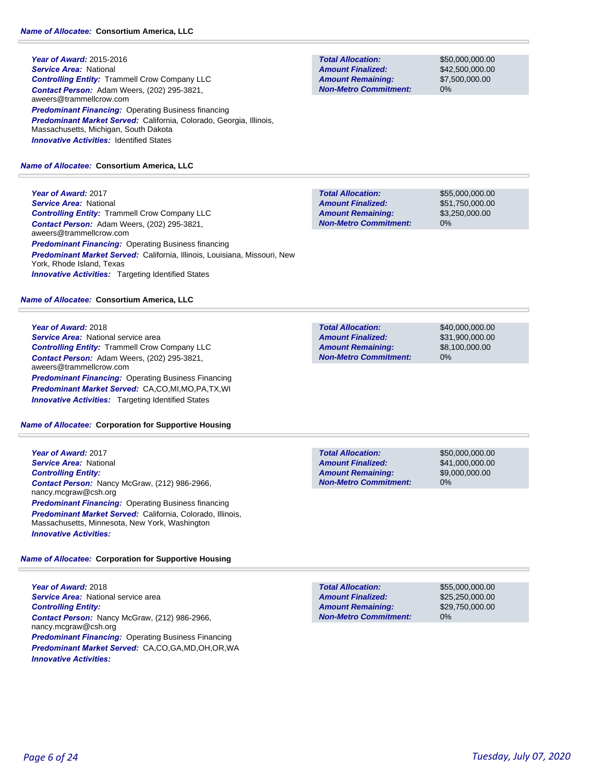**Year of Award:** 2015-2016 *Service Area:* National *Controlling Entity:* Trammell Crow Company LLC *Contact Person:* Adam Weers, (202) 295-3821, aweers@trammellcrow.com **Predominant Financing: Operating Business financing** *Predominant Market Served:* California, Colorado, Georgia, Illinois, Massachusetts, Michigan, South Dakota **Innovative Activities: Identified States** 

# *Name of Allocatee:* **Consortium America, LLC**

**Year of Award:** 2017 *Service Area:* National *Controlling Entity:* Trammell Crow Company LLC *Contact Person:* Adam Weers, (202) 295-3821, aweers@trammellcrow.com **Predominant Financing: Operating Business financing** *Predominant Market Served:* California, Illinois, Louisiana, Missouri, New York, Rhode Island, Texas **Innovative Activities:** Targeting Identified States

# *Name of Allocatee:* **Consortium America, LLC**

# **Year of Award:** 2018

*Service Area:* National service area *Controlling Entity:* Trammell Crow Company LLC *Contact Person:* Adam Weers, (202) 295-3821, aweers@trammellcrow.com *Predominant Financing: Operating Business Financing Predominant Market Served:* CA,CO,MI,MO,PA,TX,WI *Innovative Activities:* Targeting Identified States

# *Name of Allocatee:* **Corporation for Supportive Housing**

**Year of Award:** 2017 *Service Area:* National *Controlling Entity: Contact Person:* Nancy McGraw, (212) 986-2966, nancy.mcgraw@csh.org *Predominant Financing: Operating Business financing Predominant Market Served:* California, Colorado, Illinois, Massachusetts, Minnesota, New York, Washington *Innovative Activities:* 

# *Name of Allocatee:* **Corporation for Supportive Housing**

**Year of Award:** 2018 **Service Area:** National service area *Controlling Entity: Contact Person:* Nancy McGraw, (212) 986-2966, nancy.mcgraw@csh.org **Predominant Financing: Operating Business Financing** *Predominant Market Served:* CA,CO,GA,MD,OH,OR,WA *Innovative Activities:* 

**Total Allocation: Non-Metro Commitment: Amount Remaining: Amount Finalized:**

\$50,000,000.00 \$42,500,000.00 \$7,500,000.00 0%

**Total Allocation: Non-Metro Commitment: Amount Remaining: Amount Finalized:**

\$55,000,000.00 \$51,750,000.00 \$3,250,000.00 0%

**Total Allocation: Non-Metro Commitment: Amount Remaining: Amount Finalized:**

\$40,000,000.00 \$31,900,000.00 \$8,100,000.00 0%

**Total Allocation: Non-Metro Commitment: Amount Remaining: Amount Finalized:**

\$50,000,000.00 \$41,000,000.00 \$9,000,000.00 0%

**Total Allocation: Non-Metro Commitment: Amount Remaining: Amount Finalized:**

\$55,000,000.00 \$25,250,000.00 \$29,750,000.00 0%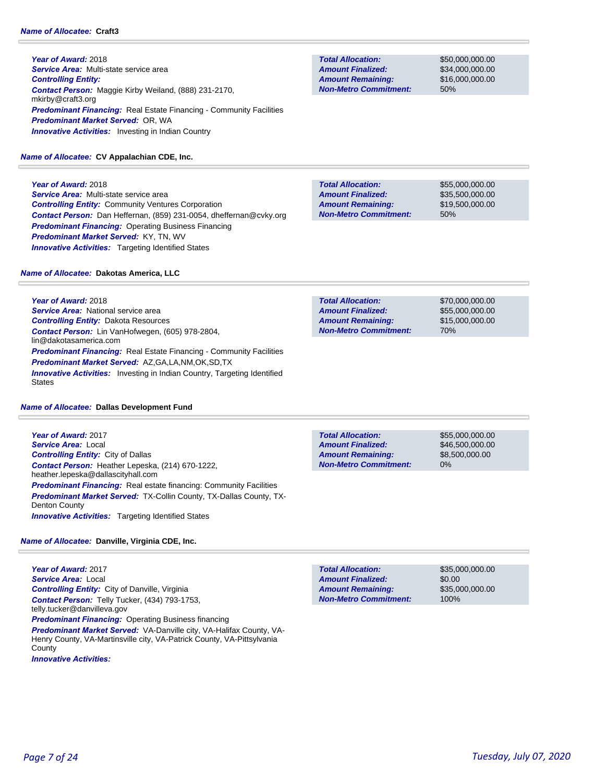# *Name of Allocatee:* **Craft3**

**Year of Award:** 2018 *Service Area:* Multi-state service area *Controlling Entity: Contact Person:* Maggie Kirby Weiland, (888) 231-2170, mkirby@craft3.org **Predominant Financing:** Real Estate Financing - Community Facilities *Predominant Market Served:* OR, WA **Innovative Activities:** Investing in Indian Country

# *Name of Allocatee:* **CV Appalachian CDE, Inc.**

**Year of Award:** 2018 *Service Area:* Multi-state service area *Controlling Entity:* Community Ventures Corporation *Contact Person:* Dan Heffernan, (859) 231-0054, dheffernan@cvky.org *Predominant Financing:* Operating Business Financing *Predominant Market Served:* KY, TN, WV **Innovative Activities:** Targeting Identified States

#### \$55,000,000.00 \$35,500,000.00 \$19,500,000.00 50% **Total Allocation: Non-Metro Commitment: Amount Remaining: Amount Finalized:**

*Name of Allocatee:* **Dakotas America, LLC**

**Year of Award:** 2018 *Service Area:* National service area *Controlling Entity:* Dakota Resources *Contact Person:* Lin VanHofwegen, (605) 978-2804, lin@dakotasamerica.com **Predominant Financing:** Real Estate Financing - Community Facilities *Predominant Market Served:* AZ,GA,LA,NM,OK,SD,TX **Innovative Activities:** Investing in Indian Country, Targeting Identified States

# *Name of Allocatee:* **Dallas Development Fund**

**Year of Award:** 2017 *Service Area:* Local *Controlling Entity:* City of Dallas *Contact Person:* Heather Lepeska, (214) 670-1222, heather.lepeska@dallascityhall.com **Predominant Financing:** Real estate financing: Community Facilities *Predominant Market Served:* TX-Collin County, TX-Dallas County, TX-Denton County *Innovative Activities:* Targeting Identified States

# *Name of Allocatee:* **Danville, Virginia CDE, Inc.**

**Year of Award:** 2017 *Service Area:* Local *Controlling Entity:* City of Danville, Virginia *Contact Person:* Telly Tucker, (434) 793-1753, telly.tucker@danvilleva.gov *Predominant Financing:* Operating Business financing *Predominant Market Served:* VA-Danville city, VA-Halifax County, VA-Henry County, VA-Martinsville city, VA-Patrick County, VA-Pittsylvania **County** *Innovative Activities:* 

**Total Allocation: Non-Metro Commitment: Amount Remaining: Amount Finalized:**

\$55,000,000.00 \$46,500,000.00 \$8,500,000.00 0%

**Total Allocation: Non-Metro Commitment: Amount Remaining: Amount Finalized:**

\$35,000,000.00 \$0.00 \$35,000,000.00 100%

**Total Allocation: Non-Metro Commitment: Amount Remaining: Amount Finalized:**

\$50,000,000.00 \$34,000,000.00 \$16,000,000.00 50%

\$70,000,000.00 \$55,000,000.00 \$15,000,000.00

70%

**Non-Metro Commitment: Amount Remaining: Amount Finalized:**

**Total Allocation:**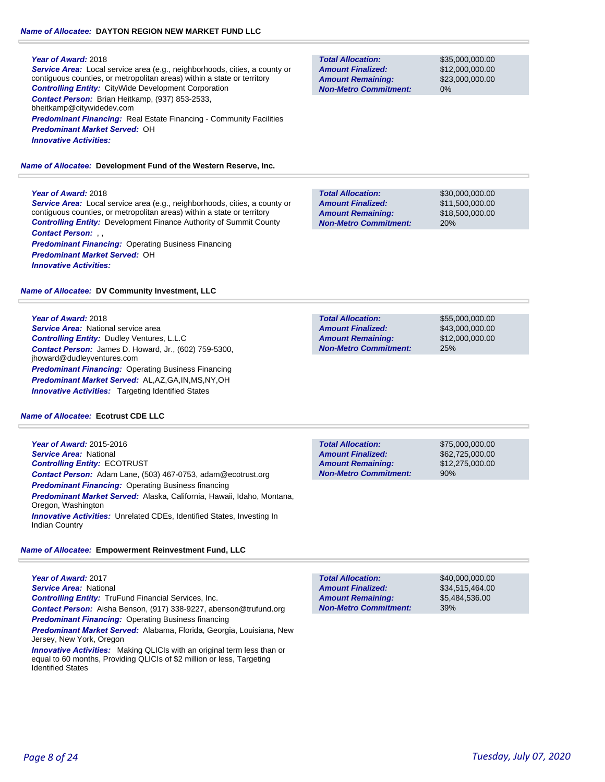# *Name of Allocatee:* **DAYTON REGION NEW MARKET FUND LLC**

# **Year of Award:** 2018

*Service Area:* Local service area (e.g., neighborhoods, cities, a county or contiguous counties, or metropolitan areas) within a state or territory *Controlling Entity:* CityWide Development Corporation *Contact Person:* Brian Heitkamp, (937) 853-2533, bheitkamp@citywidedev.com **Predominant Financing:** Real Estate Financing - Community Facilities

*Predominant Market Served:* OH

*Innovative Activities:* 

*Name of Allocatee:* **Development Fund of the Western Reserve, Inc.**

# **Year of Award:** 2018

*Service Area:* Local service area (e.g., neighborhoods, cities, a county or contiguous counties, or metropolitan areas) within a state or territory *Controlling Entity:* Development Finance Authority of Summit County *Contact Person:* , , *Predominant Financing:* Operating Business Financing *Predominant Market Served:* OH *Innovative Activities:* 

# *Name of Allocatee:* **DV Community Investment, LLC**

# **Year of Award:** 2018

**Service Area:** National service area *Controlling Entity:* Dudley Ventures, L.L.C *Contact Person:* James D. Howard, Jr., (602) 759-5300, jhoward@dudleyventures.com *Predominant Financing:* Operating Business Financing *Predominant Market Served:* AL,AZ,GA,IN,MS,NY,OH *Innovative Activities:* Targeting Identified States

# *Name of Allocatee:* **Ecotrust CDE LLC**

**Year of Award:** 2015-2016 *Service Area:* National *Controlling Entity:* ECOTRUST *Contact Person:* Adam Lane, (503) 467-0753, adam@ecotrust.org **Predominant Financing: Operating Business financing** *Predominant Market Served:* Alaska, California, Hawaii, Idaho, Montana, Oregon, Washington *Innovative Activities:* Unrelated CDEs, Identified States, Investing In Indian Country

# *Name of Allocatee:* **Empowerment Reinvestment Fund, LLC**

| Year of Award: 2017                                                                                                                                                                  |
|--------------------------------------------------------------------------------------------------------------------------------------------------------------------------------------|
| <b>Service Area: National</b>                                                                                                                                                        |
| <b>Controlling Entity:</b> TruFund Financial Services, Inc.                                                                                                                          |
| <b>Contact Person:</b> Aisha Benson, (917) 338-9227, abenson@trufund.org                                                                                                             |
| <b>Predominant Financing: Operating Business financing</b>                                                                                                                           |
| <b>Predominant Market Served:</b> Alabama, Florida, Georgia, Louisiana, New<br>Jersey, New York, Oregon                                                                              |
| <b>Innovative Activities:</b> Making QLICIs with an original term less than or<br>equal to 60 months, Providing QLICIs of \$2 million or less, Targeting<br><b>Identified States</b> |

**Total Allocation: Non-Metro Commitment: Amount Remaining: Amount Finalized:**

\$35,000,000.00 \$12,000,000.00 \$23,000,000.00 0%

\$30,000,000.00 \$11,500,000.00 \$18,500,000.00 20% **Total Allocation: Non-Metro Commitment: Amount Remaining: Amount Finalized:**

| <b>Total Allocation:</b>     | \$55,000,000,00 |
|------------------------------|-----------------|
| <b>Amount Finalized:</b>     | \$43,000,000,00 |
| <b>Amount Remaining:</b>     | \$12,000,000,00 |
| <b>Non-Metro Commitment:</b> | 25%             |

| <b>Total Allocation:</b>     | \$75,000,000,00 |
|------------------------------|-----------------|
| <b>Amount Finalized:</b>     | \$62,725,000.00 |
| <b>Amount Remaining:</b>     | \$12,275,000.00 |
| <b>Non-Metro Commitment:</b> | 90%             |

| \$40,000,000,00 |
|-----------------|
| \$34.515.464.00 |
| \$5.484.536.00  |
| 39%             |
|                 |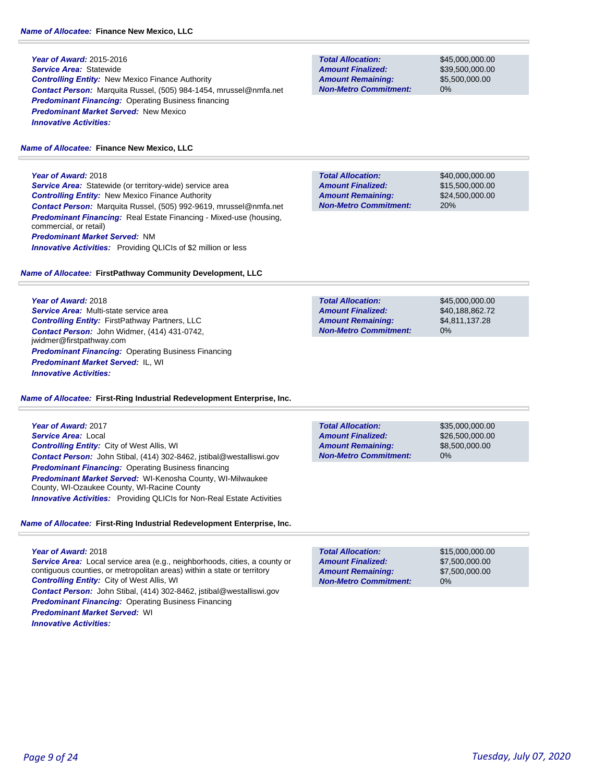**Year of Award:** 2015-2016 *Service Area:* Statewide *Controlling Entity:* New Mexico Finance Authority *Contact Person:* Marquita Russel, (505) 984-1454, mrussel@nmfa.net **Predominant Financing: Operating Business financing** *Predominant Market Served:* New Mexico *Innovative Activities:* 

# *Name of Allocatee:* **Finance New Mexico, LLC**

**Year of Award:** 2018 *Service Area:* Statewide (or territory-wide) service area *Controlling Entity:* New Mexico Finance Authority *Contact Person:* Marquita Russel, (505) 992-9619, mrussel@nmfa.net *Predominant Financing:* Real Estate Financing - Mixed-use (housing, commercial, or retail) *Predominant Market Served:* NM **Innovative Activities:** Providing QLICIs of \$2 million or less

# *Name of Allocatee:* **FirstPathway Community Development, LLC**

**Year of Award:** 2018 *Service Area:* Multi-state service area *Controlling Entity:* FirstPathway Partners, LLC *Contact Person:* John Widmer, (414) 431-0742, jwidmer@firstpathway.com **Predominant Financing: Operating Business Financing** *Predominant Market Served:* IL, WI *Innovative Activities:* 

# *Name of Allocatee:* **First-Ring Industrial Redevelopment Enterprise, Inc.**

**Year of Award:** 2017 *Service Area:* Local *Controlling Entity:* City of West Allis, WI *Contact Person:* John Stibal, (414) 302-8462, jstibal@westalliswi.gov **Predominant Financing: Operating Business financing** *Predominant Market Served:* WI-Kenosha County, WI-Milwaukee County, WI-Ozaukee County, WI-Racine County *Innovative Activities:* Providing QLICIs for Non-Real Estate Activities

# *Name of Allocatee:* **First-Ring Industrial Redevelopment Enterprise, Inc.**

**Year of Award:** 2018

*Service Area:* Local service area (e.g., neighborhoods, cities, a county or contiguous counties, or metropolitan areas) within a state or territory *Controlling Entity:* City of West Allis, WI *Contact Person:* John Stibal, (414) 302-8462, jstibal@westalliswi.gov *Predominant Financing:* Operating Business Financing *Predominant Market Served:* WI *Innovative Activities:* 

**Total Allocation: Non-Metro Commitment: Amount Remaining: Amount Finalized:**

\$45,000,000.00 \$39,500,000.00 \$5,500,000.00 0%

**Total Allocation: Non-Metro Commitment: Amount Remaining: Amount Finalized:**

\$40,000,000.00 \$15,500,000.00 \$24,500,000.00 20%

\$45,000,000.00 \$40,188,862.72 \$4,811,137.28 0% **Total Allocation: Non-Metro Commitment: Amount Remaining: Amount Finalized:**

\$35,000,000.00 \$26,500,000.00 \$8,500,000.00 0% **Total Allocation: Non-Metro Commitment: Amount Remaining: Amount Finalized:**

\$15,000,000.00 \$7,500,000.00 \$7,500,000.00 0% **Total Allocation: Non-Metro Commitment: Amount Remaining: Amount Finalized:**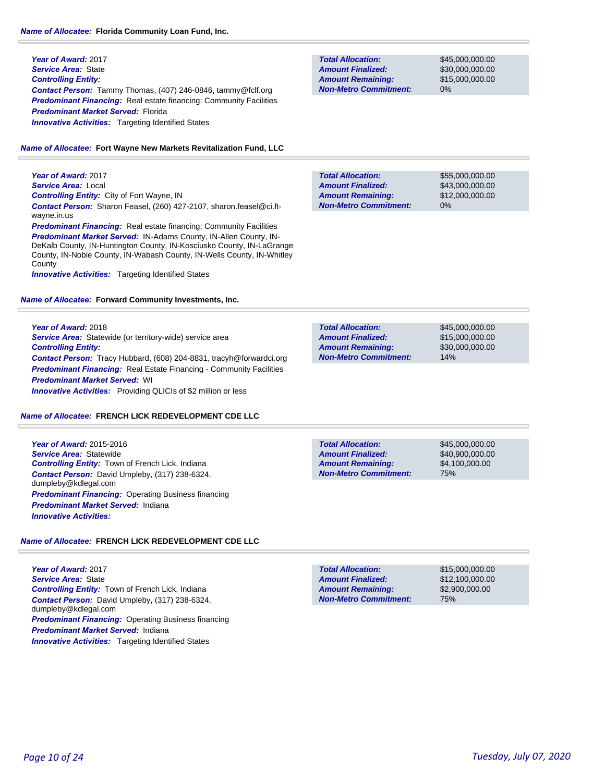**Year of Award:** 2017 *Service Area:* State *Controlling Entity: Contact Person:* Tammy Thomas, (407) 246-0846, tammy@fclf.org **Predominant Financing:** Real estate financing: Community Facilities *Predominant Market Served:* Florida **Innovative Activities:** Targeting Identified States

## *Name of Allocatee:* **Fort Wayne New Markets Revitalization Fund, LLC**

**Year of Award:** 2017 *Service Area:* Local *Controlling Entity:* City of Fort Wayne, IN *Contact Person:* Sharon Feasel, (260) 427-2107, sharon.feasel@ci.ftwayne.in.us **Predominant Financing:** Real estate financing: Community Facilities *Predominant Market Served:* IN-Adams County, IN-Allen County, IN-DeKalb County, IN-Huntington County, IN-Kosciusko County, IN-LaGrange County, IN-Noble County, IN-Wabash County, IN-Wells County, IN-Whitley **County** 

**Innovative Activities:** Targeting Identified States

#### *Name of Allocatee:* **Forward Community Investments, Inc.**

**Year of Award:** 2018 *Service Area:* Statewide (or territory-wide) service area *Controlling Entity: Contact Person:* Tracy Hubbard, (608) 204-8831, tracyh@forwardci.org *Predominant Financing:* Real Estate Financing - Community Facilities *Predominant Market Served:* WI *Innovative Activities:* Providing QLICIs of \$2 million or less

#### *Name of Allocatee:* **FRENCH LICK REDEVELOPMENT CDE LLC**

**Year of Award:** 2015-2016 *Service Area:* Statewide *Controlling Entity:* Town of French Lick, Indiana *Contact Person:* David Umpleby, (317) 238-6324, dumpleby@kdlegal.com **Predominant Financing: Operating Business financing** *Predominant Market Served:* Indiana *Innovative Activities:* 

# *Name of Allocatee:* **FRENCH LICK REDEVELOPMENT CDE LLC**

**Year of Award:** 2017 *Service Area:* State *Controlling Entity:* Town of French Lick, Indiana *Contact Person:* David Umpleby, (317) 238-6324, dumpleby@kdlegal.com *Predominant Financing:* Operating Business financing *Predominant Market Served:* Indiana **Innovative Activities:** Targeting Identified States

\$45,000,000.00 \$30,000,000.00 \$15,000,000.00 0% **Total Allocation: Non-Metro Commitment: Amount Remaining: Amount Finalized:**

\$55,000,000.00 \$43,000,000.00 \$12,000,000.00 0% **Total Allocation: Non-Metro Commitment: Amount Remaining: Amount Finalized:**

\$45,000,000.00 \$15,000,000.00 \$30,000,000.00 14% **Total Allocation: Non-Metro Commitment: Amount Remaining: Amount Finalized:**

**Total Allocation: Non-Metro Commitment: Amount Remaining: Amount Finalized:**

\$45,000,000.00 \$40,900,000.00 \$4,100,000.00 75%

\$15,000,000.00 \$12,100,000.00 \$2,900,000.00 75% **Total Allocation: Non-Metro Commitment: Amount Remaining: Amount Finalized:**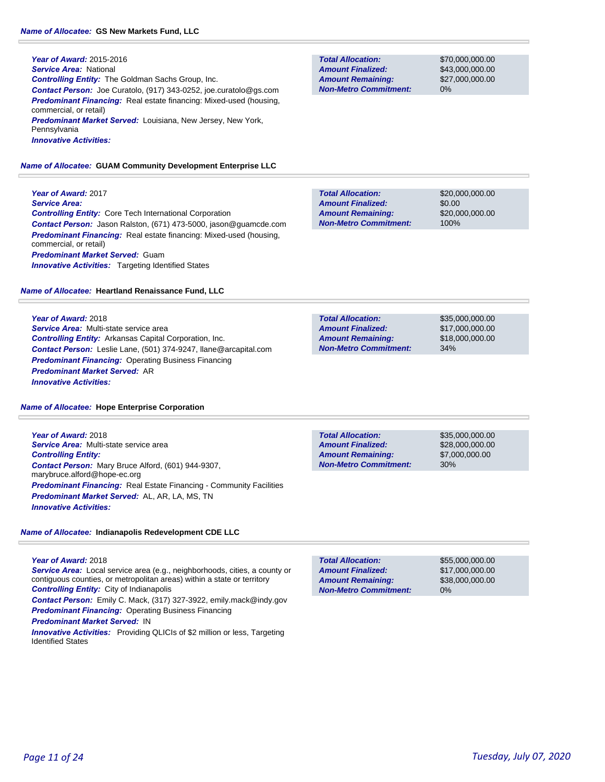**Year of Award:** 2015-2016 *Service Area:* National *Controlling Entity:* The Goldman Sachs Group, Inc. *Contact Person:* Joe Curatolo, (917) 343-0252, joe.curatolo@gs.com *Predominant Financing:* Real estate financing: Mixed-used (housing, commercial, or retail) *Predominant Market Served:* Louisiana, New Jersey, New York, Pennsylvania *Innovative Activities:* 

# *Name of Allocatee:* **GUAM Community Development Enterprise LLC**

**Year of Award:** 2017 *Service Area: Controlling Entity:* Core Tech International Corporation *Contact Person:* Jason Ralston, (671) 473-5000, jason@guamcde.com **Predominant Financing:** Real estate financing: Mixed-used (housing, commercial, or retail) *Predominant Market Served:* Guam **Innovative Activities:** Targeting Identified States

#### *Name of Allocatee:* **Heartland Renaissance Fund, LLC**

#### **Year of Award:** 2018

*Service Area:* Multi-state service area *Controlling Entity:* Arkansas Capital Corporation, Inc. *Contact Person:* Leslie Lane, (501) 374-9247, llane@arcapital.com *Predominant Financing: Operating Business Financing Predominant Market Served:* AR *Innovative Activities:* 

#### *Name of Allocatee:* **Hope Enterprise Corporation**

**Year of Award:** 2018 *Service Area:* Multi-state service area *Controlling Entity: Contact Person:* Mary Bruce Alford, (601) 944-9307, marybruce.alford@hope-ec.org **Predominant Financing:** Real Estate Financing - Community Facilities *Predominant Market Served:* AL, AR, LA, MS, TN *Innovative Activities:* 

# *Name of Allocatee:* **Indianapolis Redevelopment CDE LLC**

#### **Year of Award:** 2018

*Service Area:* Local service area (e.g., neighborhoods, cities, a county or contiguous counties, or metropolitan areas) within a state or territory *Controlling Entity:* City of Indianapolis

*Contact Person:* Emily C. Mack, (317) 327-3922, emily.mack@indy.gov *Predominant Financing: Operating Business Financing* 

*Predominant Market Served:* IN

**Innovative Activities:** Providing QLICIs of \$2 million or less, Targeting Identified States

**Total Allocation: Non-Metro Commitment: Amount Remaining: Amount Finalized:**

\$70,000,000.00 \$43,000,000.00 \$27,000,000.00 0%

\$20,000,000.00 \$0.00 \$20,000,000.00 100% **Total Allocation: Non-Metro Commitment: Amount Remaining: Amount Finalized:**

\$35,000,000.00 \$17,000,000.00 \$18,000,000.00 34% **Total Allocation: Non-Metro Commitment: Amount Remaining: Amount Finalized:**

**Total Allocation: Non-Metro Commitment: Amount Remaining: Amount Finalized:**

\$35,000,000.00 \$28,000,000.00 \$7,000,000.00 30%

\$55,000,000.00 \$17,000,000.00 \$38,000,000.00 0% **Total Allocation: Non-Metro Commitment: Amount Remaining: Amount Finalized:**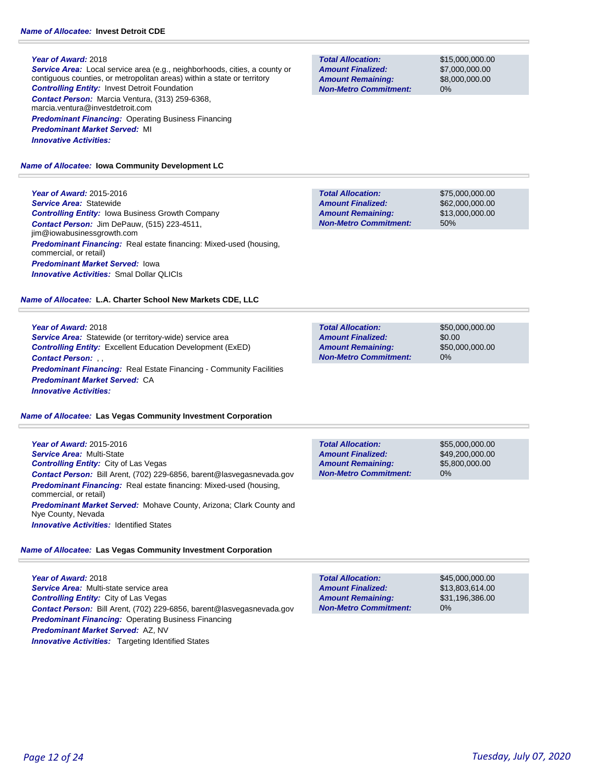# **Year of Award:** 2018

*Service Area:* Local service area (e.g., neighborhoods, cities, a county or contiguous counties, or metropolitan areas) within a state or territory *Controlling Entity:* Invest Detroit Foundation *Contact Person:* Marcia Ventura, (313) 259-6368, marcia.ventura@investdetroit.com *Predominant Financing:* Operating Business Financing *Predominant Market Served:* MI

*Innovative Activities:* 

# *Name of Allocatee:* **Iowa Community Development LC**

**Year of Award:** 2015-2016 *Service Area:* Statewide *Controlling Entity:* Iowa Business Growth Company *Contact Person:* Jim DePauw, (515) 223-4511, jim@iowabusinessgrowth.com *Predominant Financing:* Real estate financing: Mixed-used (housing, commercial, or retail) *Predominant Market Served:* Iowa *Innovative Activities:* Smal Dollar QLICIs

# *Name of Allocatee:* **L.A. Charter School New Markets CDE, LLC**

#### **Year of Award:** 2018

*Service Area:* Statewide (or territory-wide) service area *Controlling Entity:* Excellent Education Development (ExED) *Contact Person:* , , **Predominant Financing:** Real Estate Financing - Community Facilities *Predominant Market Served:* CA *Innovative Activities:* 

# *Name of Allocatee:* **Las Vegas Community Investment Corporation**

**Year of Award:** 2015-2016 *Service Area:* Multi-State *Controlling Entity:* City of Las Vegas *Contact Person:* Bill Arent, (702) 229-6856, barent@lasvegasnevada.gov **Predominant Financing:** Real estate financing: Mixed-used (housing, commercial, or retail) *Predominant Market Served:* Mohave County, Arizona; Clark County and Nye County, Nevada **Innovative Activities: Identified States** 

# *Name of Allocatee:* **Las Vegas Community Investment Corporation**

**Year of Award:** 2018 *Service Area:* Multi-state service area *Controlling Entity:* City of Las Vegas *Contact Person:* Bill Arent, (702) 229-6856, barent@lasvegasnevada.gov *Predominant Financing:* Operating Business Financing *Predominant Market Served:* AZ, NV **Innovative Activities:** Targeting Identified States

**Total Allocation: Non-Metro Commitment: Amount Remaining: Amount Finalized:**

\$15,000,000.00 \$7,000,000.00 \$8,000,000.00 0%

\$75,000,000.00 \$62,000,000.00 **Non-Metro Commitment: Amount Remaining: Amount Finalized:**

\$50,000,000.00 \$0.00 \$50,000,000.00 0% **Total Allocation: Non-Metro Commitment: Amount Remaining: Amount Finalized:**

\$55,000,000.00 0% **Total Allocation: Non-Metro Commitment: Amount Remaining: Amount Finalized:**

\$49,200,000.00 \$5,800,000.00

\$45,000,000.00 \$13,803,614.00 \$31,196,386.00 0% **Total Allocation: Non-Metro Commitment: Amount Remaining: Amount Finalized:**

# **Total Allocation:**

\$13,000,000.00 50%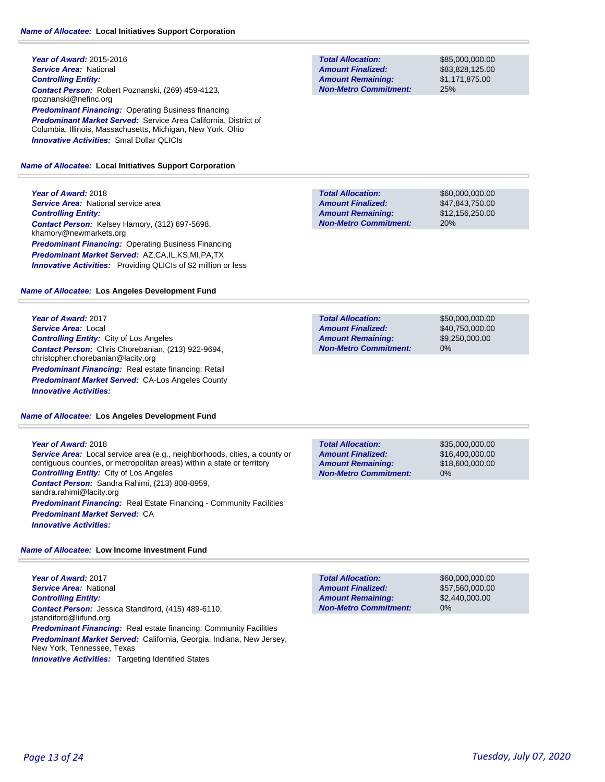**Year of Award:** 2015-2016 *Service Area:* National *Controlling Entity: Contact Person:* Robert Poznanski, (269) 459-4123, rpoznanski@nefinc.org **Predominant Financing: Operating Business financing** *Predominant Market Served:* Service Area California, District of Columbia, Illinois, Massachusetts, Michigan, New York, Ohio *Innovative Activities:* Smal Dollar QLICIs

*Name of Allocatee:* **Local Initiatives Support Corporation**

**Year of Award:** 2018 **Service Area:** National service area *Controlling Entity: Contact Person:* Kelsey Hamory, (312) 697-5698, khamory@newmarkets.org *Predominant Financing:* Operating Business Financing *Predominant Market Served:* AZ,CA,IL,KS,MI,PA,TX **Innovative Activities:** Providing QLICIs of \$2 million or less

# *Name of Allocatee:* **Los Angeles Development Fund**

**Year of Award:** 2017 *Service Area:* Local *Controlling Entity:* City of Los Angeles *Contact Person:* Chris Chorebanian, (213) 922-9694, christopher.chorebanian@lacity.org *Predominant Financing:* Real estate financing: Retail *Predominant Market Served:* CA-Los Angeles County *Innovative Activities:* 

*Name of Allocatee:* **Los Angeles Development Fund**

**Year of Award:** 2018 *Service Area:* Local service area (e.g., neighborhoods, cities, a county or contiguous counties, or metropolitan areas) within a state or territory *Controlling Entity:* City of Los Angeles *Contact Person:* Sandra Rahimi, (213) 808-8959, sandra.rahimi@lacity.org **Predominant Financing:** Real Estate Financing - Community Facilities *Predominant Market Served:* CA *Innovative Activities:* 

*Name of Allocatee:* **Low Income Investment Fund**

**Year of Award:** 2017 *Service Area:* National *Controlling Entity: Contact Person:* Jessica Standiford, (415) 489-6110, jstandiford@liifund.org **Predominant Financing:** Real estate financing: Community Facilities *Predominant Market Served:* California, Georgia, Indiana, New Jersey, New York, Tennessee, Texas **Innovative Activities:** Targeting Identified States

**Total Allocation: Non-Metro Commitment: Amount Remaining: Amount Finalized:**

\$85,000,000.00 \$83,828,125.00 \$1,171,875.00 25%

\$60,000,000.00 \$47,843,750.00 \$12,156,250.00 20% **Total Allocation: Non-Metro Commitment: Amount Remaining: Amount Finalized:**

\$50,000,000.00 \$40,750,000.00 \$9,250,000.00 0% **Total Allocation: Non-Metro Commitment: Amount Remaining: Amount Finalized:**

0% **Total Allocation: Non-Metro Commitment: Amount Remaining: Amount Finalized:**

\$35,000,000.00 \$16,400,000.00 \$18,600,000.00

\$60,000,000.00 \$57,560,000.00 \$2,440,000.00 0% **Total Allocation: Non-Metro Commitment: Amount Remaining: Amount Finalized:**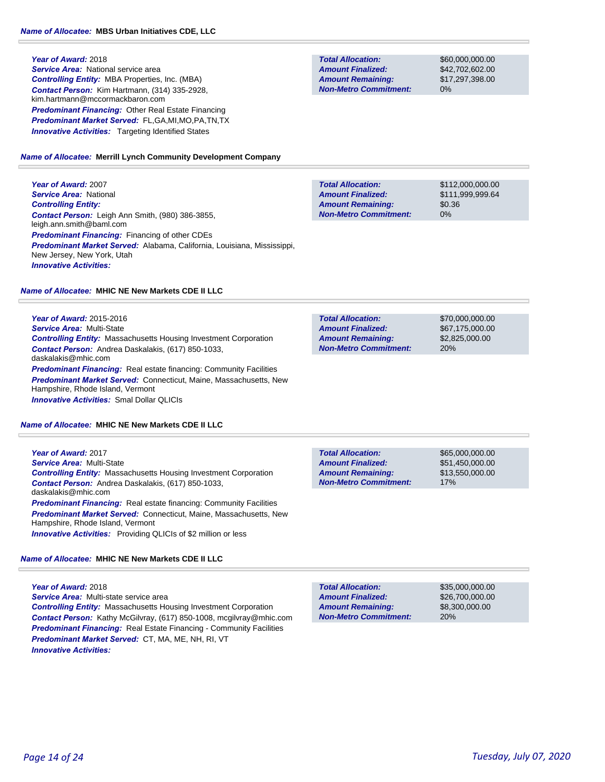**Year of Award:** 2018 **Service Area:** National service area *Controlling Entity:* MBA Properties, Inc. (MBA) *Contact Person:* Kim Hartmann, (314) 335-2928, kim.hartmann@mccormackbaron.com *Predominant Financing:* Other Real Estate Financing *Predominant Market Served:* FL,GA,MI,MO,PA,TN,TX **Innovative Activities:** Targeting Identified States

# *Name of Allocatee:* **Merrill Lynch Community Development Company**

**Year of Award:** 2007 *Service Area:* National *Controlling Entity: Contact Person:* Leigh Ann Smith, (980) 386-3855, leigh.ann.smith@baml.com *Predominant Financing:* Financing of other CDEs *Predominant Market Served:* Alabama, California, Louisiana, Mississippi, New Jersey, New York, Utah *Innovative Activities:* 

#### *Name of Allocatee:* **MHIC NE New Markets CDE II LLC**

**Year of Award:** 2015-2016 *Service Area:* Multi-State *Controlling Entity:* Massachusetts Housing Investment Corporation *Contact Person:* Andrea Daskalakis, (617) 850-1033, daskalakis@mhic.com **Predominant Financing:** Real estate financing: Community Facilities *Predominant Market Served:* Connecticut, Maine, Massachusetts, New Hampshire, Rhode Island, Vermont *Innovative Activities:* Smal Dollar QLICIs

#### *Name of Allocatee:* **MHIC NE New Markets CDE II LLC**

**Year of Award:** 2017 *Service Area:* Multi-State *Controlling Entity:* Massachusetts Housing Investment Corporation *Contact Person:* Andrea Daskalakis, (617) 850-1033, daskalakis@mhic.com **Predominant Financing:** Real estate financing: Community Facilities *Predominant Market Served:* Connecticut, Maine, Massachusetts, New Hampshire, Rhode Island, Vermont **Innovative Activities:** Providing QLICIs of \$2 million or less

#### *Name of Allocatee:* **MHIC NE New Markets CDE II LLC**

**Year of Award:** 2018 *Service Area:* Multi-state service area *Controlling Entity:* Massachusetts Housing Investment Corporation *Contact Person:* Kathy McGilvray, (617) 850-1008, mcgilvray@mhic.com **Predominant Financing:** Real Estate Financing - Community Facilities *Predominant Market Served:* CT, MA, ME, NH, RI, VT *Innovative Activities:* 

**Total Allocation: Non-Metro Commitment: Amount Remaining: Amount Finalized:**

\$60,000,000.00 \$42,702,602.00 \$17,297,398.00 0%

\$112,000,000.00 \$111,999,999.64 \$0.36 0% **Total Allocation: Non-Metro Commitment: Amount Remaining: Amount Finalized:**

\$70,000,000.00 \$67,175,000.00 \$2,825,000.00 20% **Total Allocation: Non-Metro Commitment: Amount Remaining: Amount Finalized:**

**Total Allocation: Non-Metro Commitment: Amount Remaining: Amount Finalized:**

\$65,000,000.00 \$51,450,000.00 \$13,550,000.00 17%

**Total Allocation: Non-Metro Commitment: Amount Remaining: Amount Finalized:**

\$35,000,000.00 \$26,700,000.00 \$8,300,000.00 20%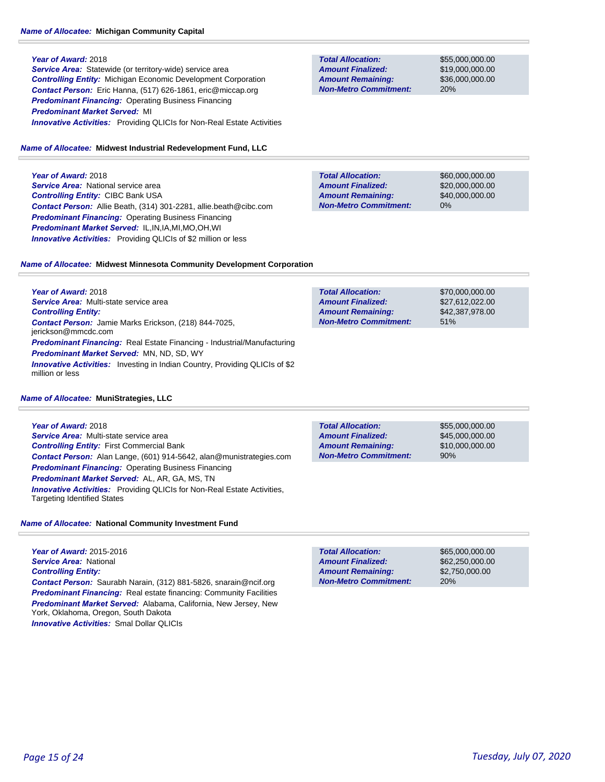#### *Name of Allocatee:* **Michigan Community Capital**

#### **Year of Award:** 2018

**Service Area:** Statewide (or territory-wide) service area *Controlling Entity:* Michigan Economic Development Corporation *Contact Person:* Eric Hanna, (517) 626-1861, eric@miccap.org *Predominant Financing:* Operating Business Financing *Predominant Market Served:* MI **Innovative Activities:** Providing QLICIs for Non-Real Estate Activities

#### *Name of Allocatee:* **Midwest Industrial Redevelopment Fund, LLC**

**Year of Award:** 2018 **Service Area:** National service area *Controlling Entity:* CIBC Bank USA *Contact Person:* Allie Beath, (314) 301-2281, allie.beath@cibc.com *Predominant Financing:* Operating Business Financing *Predominant Market Served:* IL,IN,IA,MI,MO,OH,WI **Innovative Activities:** Providing QLICIs of \$2 million or less

**Total Allocation: Non-Metro Commitment: Amount Remaining: Amount Finalized:**

\$55,000,000.00 \$19,000,000.00 \$36,000,000.00 20%

**Total Allocation: Non-Metro Commitment: Amount Remaining: Amount Finalized:**

\$60,000,000.00 \$20,000,000.00 \$40,000,000.00 0%

# *Name of Allocatee:* **Midwest Minnesota Community Development Corporation**

**Year of Award:** 2018 *Service Area:* Multi-state service area *Controlling Entity: Contact Person:* Jamie Marks Erickson, (218) 844-7025, jerickson@mmcdc.com *Predominant Financing:* Real Estate Financing - Industrial/Manufacturing *Predominant Market Served:* MN, ND, SD, WY **Innovative Activities:** Investing in Indian Country, Providing QLICIs of \$2 million or less

#### *Name of Allocatee:* **MuniStrategies, LLC**

**Year of Award:** 2018 *Service Area:* Multi-state service area *Controlling Entity:* First Commercial Bank *Contact Person:* Alan Lange, (601) 914-5642, alan@munistrategies.com *Predominant Financing:* Operating Business Financing *Predominant Market Served:* AL, AR, GA, MS, TN *Innovative Activities:* Providing QLICIs for Non-Real Estate Activities, Targeting Identified States

| <b>Total Allocation:</b>     | \$70,000,000,00 |
|------------------------------|-----------------|
| <b>Amount Finalized:</b>     | \$27,612,022.00 |
| <b>Amount Remaining:</b>     | \$42,387,978,00 |
| <b>Non-Metro Commitment:</b> | 51%             |
|                              |                 |

**Total Allocation: Non-Metro Commitment: Amount Remaining: Amount Finalized:**

\$55,000,000.00 \$45,000,000.00 \$10,000,000.00 90%

# *Name of Allocatee:* **National Community Investment Fund**

**Year of Award:** 2015-2016 *Service Area:* National *Controlling Entity: Contact Person:* Saurabh Narain, (312) 881-5826, snarain@ncif.org **Predominant Financing:** Real estate financing: Community Facilities *Predominant Market Served:* Alabama, California, New Jersey, New York, Oklahoma, Oregon, South Dakota *Innovative Activities:* Smal Dollar QLICIs

\$65,000,000.00 \$62,250,000.00 \$2,750,000.00 20% **Total Allocation: Non-Metro Commitment: Amount Remaining: Amount Finalized:**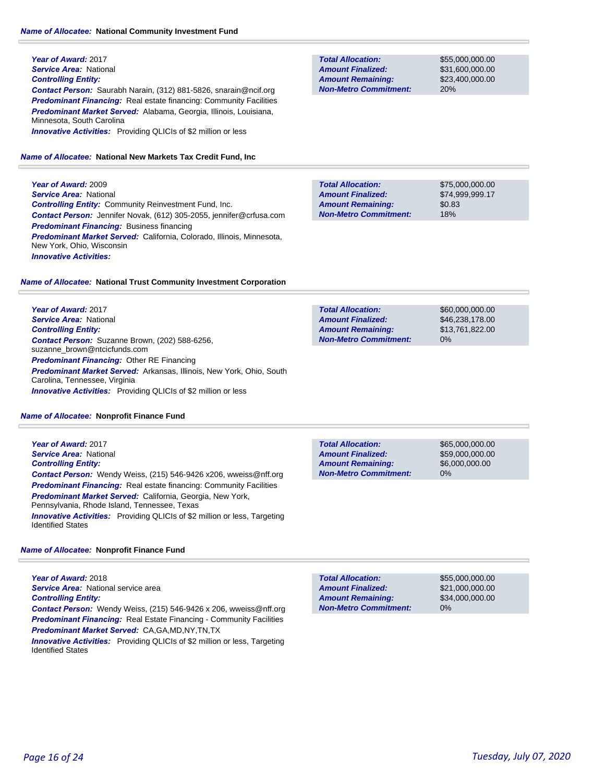**Year of Award:** 2017 *Service Area:* National *Controlling Entity: Contact Person:* Saurabh Narain, (312) 881-5826, snarain@ncif.org **Predominant Financing:** Real estate financing: Community Facilities *Predominant Market Served:* Alabama, Georgia, Illinois, Louisiana, Minnesota, South Carolina **Innovative Activities:** Providing QLICIs of \$2 million or less

### *Name of Allocatee:* **National New Markets Tax Credit Fund, Inc**

**Year of Award:** 2009 *Service Area:* National *Controlling Entity:* Community Reinvestment Fund, Inc. *Contact Person:* Jennifer Novak, (612) 305-2055, jennifer@crfusa.com *Predominant Financing:* Business financing *Predominant Market Served:* California, Colorado, Illinois, Minnesota, New York, Ohio, Wisconsin *Innovative Activities:* 

#### *Name of Allocatee:* **National Trust Community Investment Corporation**

**Year of Award:** 2017 *Service Area:* National *Controlling Entity: Contact Person:* Suzanne Brown, (202) 588-6256, suzanne\_brown@ntcicfunds.com *Predominant Financing:* Other RE Financing *Predominant Market Served:* Arkansas, Illinois, New York, Ohio, South Carolina, Tennessee, Virginia *Innovative Activities:* Providing QLICIs of \$2 million or less

#### *Name of Allocatee:* **Nonprofit Finance Fund**

**Year of Award:** 2017 *Service Area:* National *Controlling Entity: Contact Person:* Wendy Weiss, (215) 546-9426 x206, wweiss@nff.org **Predominant Financing:** Real estate financing: Community Facilities *Predominant Market Served:* California, Georgia, New York, Pennsylvania, Rhode Island, Tennessee, Texas *Innovative Activities:* Providing QLICIs of \$2 million or less, Targeting Identified States

#### *Name of Allocatee:* **Nonprofit Finance Fund**

**Year of Award:** 2018 *Service Area:* National service area *Controlling Entity: Contact Person:* Wendy Weiss, (215) 546-9426 x 206, wweiss@nff.org

*Predominant Financing:* Real Estate Financing - Community Facilities *Predominant Market Served:* CA,GA,MD,NY,TN,TX

*Innovative Activities:* Providing QLICIs of \$2 million or less, Targeting Identified States

| <b>Total Allocation:</b>     |  |
|------------------------------|--|
| <b>Amount Finalized:</b>     |  |
| <b>Amount Remaining:</b>     |  |
| <b>Non-Metro Commitment:</b> |  |

\$55,000,000.00 \$31,600,000.00 \$23,400,000.00 20%

\$75,000,000.00 \$74,999,999.17 \$0.83 18% **Total Allocation: Non-Metro Commitment: Amount Remaining: Amount Finalized:**

\$60,000,000.00 \$46,238,178.00 \$13,761,822.00 0% **Total Allocation: Non-Metro Commitment: Amount Remaining: Amount Finalized:**

0% **Total Allocation: Non-Metro Commitment: Amount Remaining: Amount Finalized:**

\$65,000,000.00 \$59,000,000.00 \$6,000,000.00

\$55,000,000.00 \$21,000,000.00 \$34,000,000.00 0% **Total Allocation: Non-Metro Commitment: Amount Remaining: Amount Finalized:**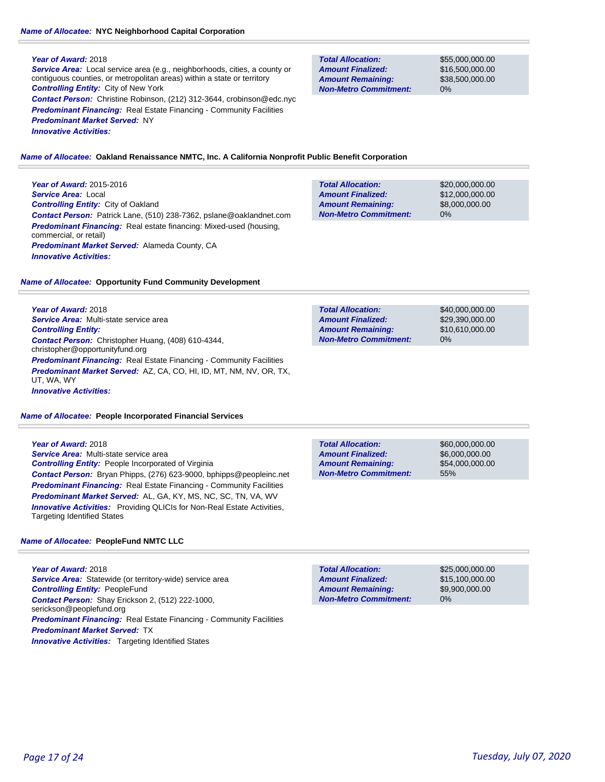# *Name of Allocatee:* **NYC Neighborhood Capital Corporation**

# **Year of Award:** 2018

*Service Area:* Local service area (e.g., neighborhoods, cities, a county or contiguous counties, or metropolitan areas) within a state or territory *Controlling Entity:* City of New York *Contact Person:* Christine Robinson, (212) 312-3644, crobinson@edc.nyc **Predominant Financing:** Real Estate Financing - Community Facilities *Predominant Market Served:* NY *Innovative Activities:* 

**Total Allocation: Non-Metro Commitment: Amount Remaining: Amount Finalized:**

**Total Allocation:**

**Non-Metro Commitment: Amount Remaining: Amount Finalized:**

\$55,000,000.00 \$16,500,000.00 \$38,500,000.00 0%

\$20,000,000.00 \$12,000,000.00 \$8,000,000.00

0%

## *Name of Allocatee:* **Oakland Renaissance NMTC, Inc. A California Nonprofit Public Benefit Corporation**

**Year of Award:** 2015-2016 *Service Area:* Local *Controlling Entity:* City of Oakland *Contact Person:* Patrick Lane, (510) 238-7362, pslane@oaklandnet.com *Predominant Financing:* Real estate financing: Mixed-used (housing, commercial, or retail) *Predominant Market Served:* Alameda County, CA *Innovative Activities:* 

#### *Name of Allocatee:* **Opportunity Fund Community Development**

**Year of Award:** 2018 *Service Area:* Multi-state service area *Controlling Entity: Contact Person:* Christopher Huang, (408) 610-4344, christopher@opportunityfund.org **Predominant Financing:** Real Estate Financing - Community Facilities *Predominant Market Served:* AZ, CA, CO, HI, ID, MT, NM, NV, OR, TX, UT, WA, WY *Innovative Activities:* 

#### *Name of Allocatee:* **People Incorporated Financial Services**

**Year of Award:** 2018 *Service Area:* Multi-state service area *Controlling Entity:* People Incorporated of Virginia *Contact Person:* Bryan Phipps, (276) 623-9000, bphipps@peopleinc.net **Predominant Financing:** Real Estate Financing - Community Facilities *Predominant Market Served:* AL, GA, KY, MS, NC, SC, TN, VA, WV **Innovative Activities:** Providing QLICIs for Non-Real Estate Activities, Targeting Identified States

#### *Name of Allocatee:* **PeopleFund NMTC LLC**

**Year of Award:** 2018 **Service Area:** Statewide (or territory-wide) service area *Controlling Entity:* PeopleFund *Contact Person:* Shay Erickson 2, (512) 222-1000, serickson@peoplefund.org *Predominant Financing:* Real Estate Financing - Community Facilities *Predominant Market Served:* TX **Innovative Activities:** Targeting Identified States

\$40,000,000.00 \$29,390,000.00 \$10,610,000.00 0% **Total Allocation: Non-Metro Commitment: Amount Remaining: Amount Finalized:**

\$60,000,000.00 55% **Total Allocation: Non-Metro Commitment: Amount Remaining: Amount Finalized:**

\$6,000,000.00 \$54,000,000.00

0% **Total Allocation: Non-Metro Commitment: Amount Remaining: Amount Finalized:**

\$25,000,000.00 \$15,100,000.00 \$9,900,000.00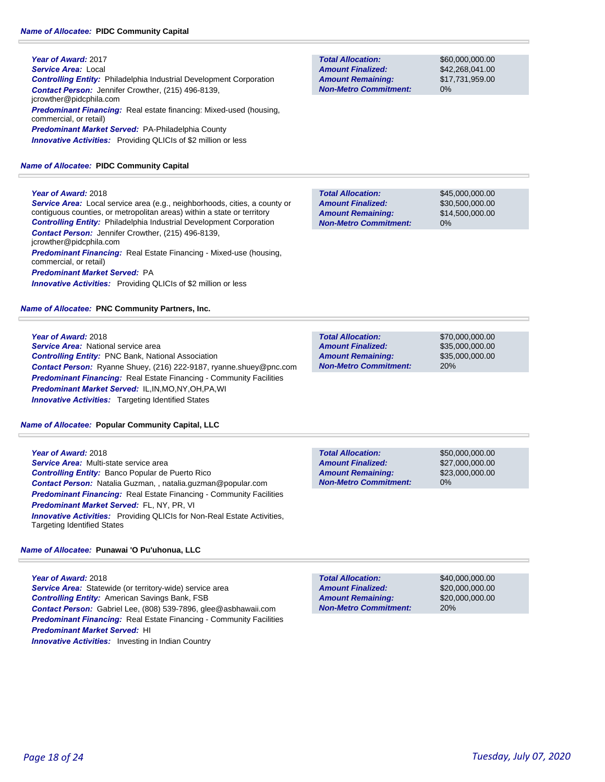# **Year of Award:** 2017 *Service Area:* Local *Controlling Entity:* Philadelphia Industrial Development Corporation *Contact Person:* Jennifer Crowther, (215) 496-8139, jcrowther@pidcphila.com **Predominant Financing:** Real estate financing: Mixed-used (housing, commercial, or retail) *Predominant Market Served:* PA-Philadelphia County **Innovative Activities:** Providing QLICIs of \$2 million or less

# *Name of Allocatee:* **PIDC Community Capital**

#### **Year of Award:** 2018

*Service Area:* Local service area (e.g., neighborhoods, cities, a county or contiguous counties, or metropolitan areas) within a state or territory *Controlling Entity:* Philadelphia Industrial Development Corporation *Contact Person:* Jennifer Crowther, (215) 496-8139, jcrowther@pidcphila.com *Predominant Financing:* Real Estate Financing - Mixed-use (housing, commercial, or retail) *Predominant Market Served:* PA **Innovative Activities:** Providing QLICIs of \$2 million or less

*Name of Allocatee:* **PNC Community Partners, Inc.**

# **Year of Award:** 2018

**Service Area:** National service area *Controlling Entity:* PNC Bank, National Association *Contact Person:* Ryanne Shuey, (216) 222-9187, ryanne.shuey@pnc.com **Predominant Financing:** Real Estate Financing - Community Facilities *Predominant Market Served:* IL,IN,MO,NY,OH,PA,WI *Innovative Activities:* Targeting Identified States

#### *Name of Allocatee:* **Popular Community Capital, LLC**

**Year of Award:** 2018 *Service Area:* Multi-state service area *Controlling Entity:* Banco Popular de Puerto Rico *Contact Person:* Natalia Guzman, , natalia.guzman@popular.com **Predominant Financing:** Real Estate Financing - Community Facilities *Predominant Market Served:* FL, NY, PR, VI *Innovative Activities:* Providing QLICIs for Non-Real Estate Activities, Targeting Identified States

# *Name of Allocatee:* **Punawai 'O Pu'uhonua, LLC**

**Year of Award:** 2018 **Service Area:** Statewide (or territory-wide) service area *Controlling Entity:* American Savings Bank, FSB *Contact Person:* Gabriel Lee, (808) 539-7896, glee@asbhawaii.com **Predominant Financing:** Real Estate Financing - Community Facilities *Predominant Market Served:* HI **Innovative Activities:** Investing in Indian Country

**Total Allocation: Non-Metro Commitment: Amount Remaining: Amount Finalized:**

\$60,000,000.00 \$42,268,041.00 \$17,731,959.00 0%

\$45,000,000.00 \$30,500,000.00 \$14,500,000.00 0% **Total Allocation: Non-Metro Commitment: Amount Remaining: Amount Finalized:**

20% **Total Allocation: Non-Metro Commitment: Amount Remaining: Amount Finalized:**

\$70,000,000.00 \$35,000,000.00 \$35,000,000.00

**Total Allocation: Non-Metro Commitment: Amount Remaining: Amount Finalized:**

\$50,000,000.00 \$27,000,000.00 \$23,000,000.00 0%

\$40,000,000.00 \$20,000,000.00 \$20,000,000.00 20% **Total Allocation: Non-Metro Commitment: Amount Remaining: Amount Finalized:**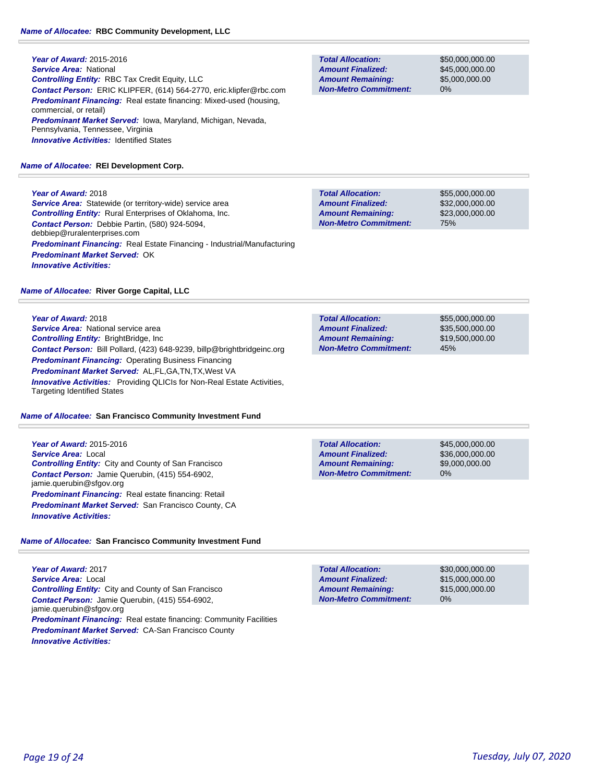**Year of Award:** 2015-2016 *Service Area:* National *Controlling Entity:* RBC Tax Credit Equity, LLC *Contact Person:* ERIC KLIPFER, (614) 564-2770, eric.klipfer@rbc.com **Predominant Financing:** Real estate financing: Mixed-used (housing, commercial, or retail) *Predominant Market Served:* Iowa, Maryland, Michigan, Nevada, Pennsylvania, Tennessee, Virginia **Innovative Activities: Identified States** 

# *Name of Allocatee:* **REI Development Corp.**

**Year of Award:** 2018 *Service Area:* Statewide (or territory-wide) service area *Controlling Entity:* Rural Enterprises of Oklahoma, Inc. *Contact Person:* Debbie Partin, (580) 924-5094, debbiep@ruralenterprises.com *Predominant Financing:* Real Estate Financing - Industrial/Manufacturing *Predominant Market Served:* OK *Innovative Activities:* 

## *Name of Allocatee:* **River Gorge Capital, LLC**

#### **Year of Award:** 2018

**Service Area:** National service area *Controlling Entity:* BrightBridge, Inc *Contact Person:* Bill Pollard, (423) 648-9239, billp@brightbridgeinc.org *Predominant Financing: Operating Business Financing Predominant Market Served:* AL,FL,GA,TN,TX,West VA **Innovative Activities:** Providing QLICIs for Non-Real Estate Activities, Targeting Identified States

#### *Name of Allocatee:* **San Francisco Community Investment Fund**

**Year of Award:** 2015-2016 *Service Area:* Local *Controlling Entity:* City and County of San Francisco *Contact Person:* Jamie Querubin, (415) 554-6902, jamie.querubin@sfgov.org *Predominant Financing:* Real estate financing: Retail *Predominant Market Served:* San Francisco County, CA *Innovative Activities:* 

# *Name of Allocatee:* **San Francisco Community Investment Fund**

**Year of Award:** 2017 *Service Area:* Local *Controlling Entity:* City and County of San Francisco *Contact Person:* Jamie Querubin, (415) 554-6902, jamie.querubin@sfgov.org *Predominant Financing:* Real estate financing: Community Facilities *Predominant Market Served:* CA-San Francisco County *Innovative Activities:* 

**Total Allocation: Non-Metro Commitment: Amount Remaining: Amount Finalized:**

\$50,000,000.00 \$45,000,000.00 \$5,000,000.00 0%

**Total Allocation: Non-Metro Commitment: Amount Remaining: Amount Finalized:**

\$55,000,000.00 \$32,000,000.00 \$23,000,000.00 75%

\$55,000,000.00 \$35,500,000.00 \$19,500,000.00 45% **Total Allocation: Non-Metro Commitment: Amount Remaining: Amount Finalized:**

**Total Allocation: Non-Metro Commitment: Amount Remaining: Amount Finalized:**

\$45,000,000.00 \$36,000,000.00 \$9,000,000.00 0%

0% **Total Allocation: Non-Metro Commitment: Amount Remaining: Amount Finalized:**

\$30,000,000.00 \$15,000,000.00 \$15,000,000.00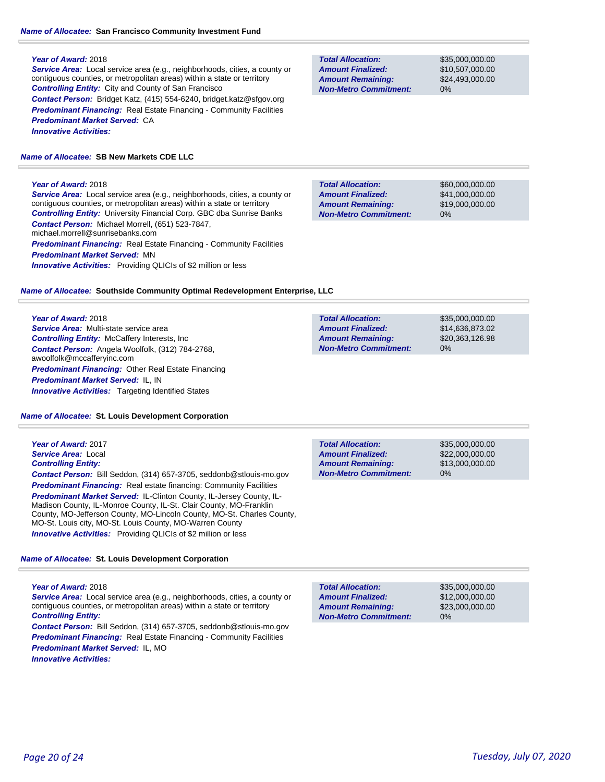# **Year of Award:** 2018

*Service Area:* Local service area (e.g., neighborhoods, cities, a county or contiguous counties, or metropolitan areas) within a state or territory *Controlling Entity:* City and County of San Francisco *Contact Person:* Bridget Katz, (415) 554-6240, bridget.katz@sfgov.org **Predominant Financing:** Real Estate Financing - Community Facilities *Predominant Market Served:* CA *Innovative Activities:* 

# *Name of Allocatee:* **SB New Markets CDE LLC**

# **Year of Award:** 2018

*Service Area:* Local service area (e.g., neighborhoods, cities, a county or contiguous counties, or metropolitan areas) within a state or territory *Controlling Entity:* University Financial Corp. GBC dba Sunrise Banks *Contact Person:* Michael Morrell, (651) 523-7847, michael.morrell@sunrisebanks.com **Predominant Financing:** Real Estate Financing - Community Facilities *Predominant Market Served:* MN **Innovative Activities:** Providing QLICIs of \$2 million or less

**Total Allocation: Non-Metro Commitment: Amount Remaining: Amount Finalized:**

**Total Allocation:**

**Non-Metro Commitment: Amount Remaining: Amount Finalized:**

\$35,000,000.00 \$10,507,000.00 \$24,493,000.00 0%

\$35,000,000.00 \$14,636,873.02 \$20,363,126.98

0%

\$60,000,000.00 \$41,000,000.00 \$19,000,000.00 0% **Total Allocation: Non-Metro Commitment: Amount Remaining: Amount Finalized:**

# *Name of Allocatee:* **Southside Community Optimal Redevelopment Enterprise, LLC**

#### **Year of Award:** 2018

**Year of Award:** 2017

*Service Area:* Multi-state service area *Controlling Entity:* McCaffery Interests, Inc *Contact Person:* Angela Woolfolk, (312) 784-2768, awoolfolk@mccafferyinc.com *Predominant Financing:* Other Real Estate Financing *Predominant Market Served:* IL, IN *Innovative Activities:* Targeting Identified States

*Name of Allocatee:* **St. Louis Development Corporation**

*Service Area:* Local *Controlling Entity: Contact Person:* Bill Seddon, (314) 657-3705, seddonb@stlouis-mo.gov **Predominant Financing:** Real estate financing: Community Facilities *Predominant Market Served:* IL-Clinton County, IL-Jersey County, IL-Madison County, IL-Monroe County, IL-St. Clair County, MO-Franklin County, MO-Jefferson County, MO-Lincoln County, MO-St. Charles County, MO-St. Louis city, MO-St. Louis County, MO-Warren County **Innovative Activities:** Providing QLICIs of \$2 million or less

# *Name of Allocatee:* **St. Louis Development Corporation**

**Year of Award:** 2018

*Service Area:* Local service area (e.g., neighborhoods, cities, a county or contiguous counties, or metropolitan areas) within a state or territory *Controlling Entity:* 

*Contact Person:* Bill Seddon, (314) 657-3705, seddonb@stlouis-mo.gov *Predominant Financing:* Real Estate Financing - Community Facilities *Predominant Market Served:* IL, MO

*Innovative Activities:* 

| <b>Total Allocation:</b>     | \$35,000,000,00 |
|------------------------------|-----------------|
| <b>Amount Finalized:</b>     | \$22,000,000,00 |
| <b>Amount Remaining:</b>     | \$13,000,000,00 |
| <b>Non-Metro Commitment:</b> | $0\%$           |

0% **Total Allocation: Non-Metro Commitment: Amount Remaining: Amount Finalized:**

\$35,000,000.00 \$12,000,000.00 \$23,000,000.00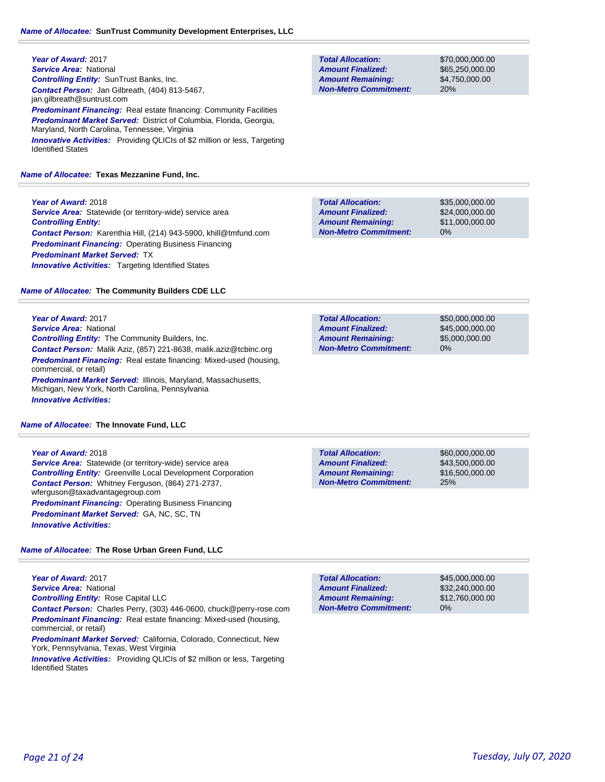**Year of Award:** 2017 *Service Area:* National *Controlling Entity:* SunTrust Banks, Inc. *Contact Person:* Jan Gilbreath, (404) 813-5467, jan.gilbreath@suntrust.com **Predominant Financing:** Real estate financing: Community Facilities *Predominant Market Served:* District of Columbia, Florida, Georgia, Maryland, North Carolina, Tennessee, Virginia **Innovative Activities:** Providing QLICIs of \$2 million or less, Targeting Identified States

# *Name of Allocatee:* **Texas Mezzanine Fund, Inc.**

**Year of Award:** 2018 **Service Area:** Statewide (or territory-wide) service area *Controlling Entity: Contact Person:* Karenthia Hill, (214) 943-5900, khill@tmfund.com *Predominant Financing:* Operating Business Financing *Predominant Market Served:* TX **Innovative Activities:** Targeting Identified States

# *Name of Allocatee:* **The Community Builders CDE LLC**

# **Year of Award:** 2017

*Service Area:* National *Controlling Entity:* The Community Builders, Inc. *Contact Person:* Malik Aziz, (857) 221-8638, malik.aziz@tcbinc.org **Predominant Financing:** Real estate financing: Mixed-used (housing, commercial, or retail) *Predominant Market Served:* Illinois, Maryland, Massachusetts, Michigan, New York, North Carolina, Pennsylvania *Innovative Activities:* 

### *Name of Allocatee:* **The Innovate Fund, LLC**

#### **Year of Award:** 2018

*Service Area:* Statewide (or territory-wide) service area *Controlling Entity:* Greenville Local Development Corporation *Contact Person:* Whitney Ferguson, (864) 271-2737, wferguson@taxadvantagegroup.com *Predominant Financing: Operating Business Financing Predominant Market Served:* GA, NC, SC, TN *Innovative Activities:* 

# *Name of Allocatee:* **The Rose Urban Green Fund, LLC**

**Year of Award:** 2017 *Service Area:* National *Controlling Entity:* Rose Capital LLC

*Contact Person:* Charles Perry, (303) 446-0600, chuck@perry-rose.com *Predominant Financing:* Real estate financing: Mixed-used (housing, commercial, or retail)

*Predominant Market Served:* California, Colorado, Connecticut, New York, Pennsylvania, Texas, West Virginia

**Innovative Activities:** Providing QLICIs of \$2 million or less, Targeting Identified States

**Total Allocation: Non-Metro Commitment: Amount Remaining: Amount Finalized:**

\$70,000,000.00 \$65,250,000.00 \$4,750,000.00 20%

\$35,000,000.00 \$24,000,000.00 \$11,000,000.00 0% **Total Allocation: Non-Metro Commitment: Amount Remaining: Amount Finalized:**

| <b>Total Allocation:</b>     | \$50,000,000,00 |
|------------------------------|-----------------|
| <b>Amount Finalized:</b>     | \$45,000,000,00 |
| <b>Amount Remaining:</b>     | \$5,000,000,00  |
| <b>Non-Metro Commitment:</b> | $0\%$           |

**Total Allocation: Non-Metro Commitment: Amount Remaining: Amount Finalized:**

\$60,000,000.00 \$43,500,000.00 \$16,500,000.00 25%

\$45,000,000.00 \$32,240,000.00 \$12,760,000.00 0% **Total Allocation: Non-Metro Commitment: Amount Remaining: Amount Finalized:**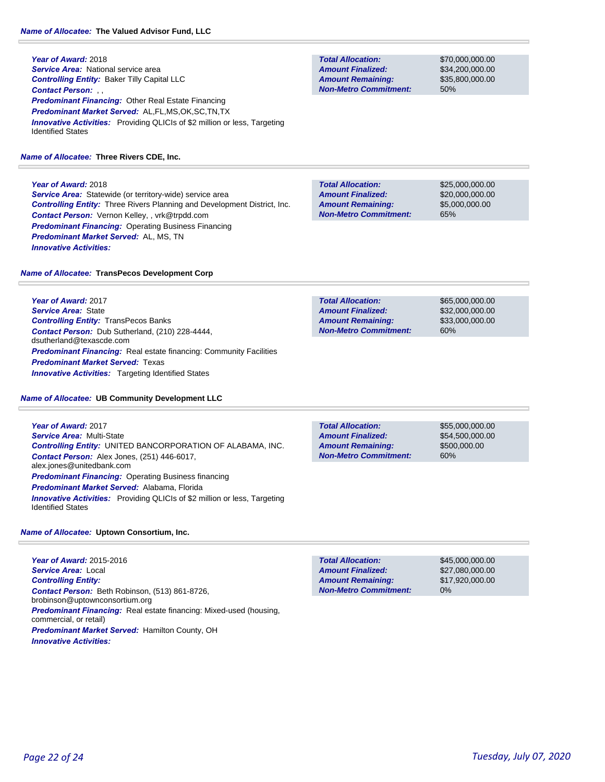**Year of Award:** 2018 **Service Area:** National service area *Controlling Entity:* Baker Tilly Capital LLC *Contact Person:* , , *Predominant Financing:* Other Real Estate Financing *Predominant Market Served:* AL,FL,MS,OK,SC,TN,TX **Innovative Activities:** Providing QLICIs of \$2 million or less, Targeting Identified States

# *Name of Allocatee:* **Three Rivers CDE, Inc.**

**Year of Award:** 2018 **Service Area:** Statewide (or territory-wide) service area *Controlling Entity:* Three Rivers Planning and Development District, Inc. *Contact Person:* Vernon Kelley, , vrk@trpdd.com *Predominant Financing:* Operating Business Financing *Predominant Market Served:* AL, MS, TN *Innovative Activities:* 

*Name of Allocatee:* **TransPecos Development Corp**

**Year of Award:** 2017 *Service Area:* State *Controlling Entity:* TransPecos Banks *Contact Person:* Dub Sutherland, (210) 228-4444, dsutherland@texascde.com **Predominant Financing:** Real estate financing: Community Facilities *Predominant Market Served:* Texas **Innovative Activities:** Targeting Identified States

# *Name of Allocatee:* **UB Community Development LLC**

**Year of Award:** 2017 *Service Area:* Multi-State *Controlling Entity:* UNITED BANCORPORATION OF ALABAMA, INC. *Contact Person:* Alex Jones, (251) 446-6017, alex.jones@unitedbank.com **Predominant Financing: Operating Business financing** *Predominant Market Served:* Alabama, Florida *Innovative Activities:* Providing QLICIs of \$2 million or less, Targeting Identified States

*Name of Allocatee:* **Uptown Consortium, Inc.**

**Year of Award:** 2015-2016 *Service Area:* Local *Controlling Entity: Contact Person:* Beth Robinson, (513) 861-8726, brobinson@uptownconsortium.org **Predominant Financing:** Real estate financing: Mixed-used (housing, commercial, or retail) *Predominant Market Served:* Hamilton County, OH *Innovative Activities:* 

**Total Allocation: Non-Metro Commitment: Amount Remaining: Amount Finalized:**

\$70,000,000.00 \$34,200,000.00 \$35,800,000.00 50%

**Total Allocation: Non-Metro Commitment: Amount Remaining: Amount Finalized:**

\$25,000,000.00 \$20,000,000.00 \$5,000,000.00 65%

\$65,000,000.00 \$32,000,000.00 \$33,000,000.00 60% **Total Allocation: Non-Metro Commitment: Amount Remaining: Amount Finalized:**

**Total Allocation: Non-Metro Commitment: Amount Remaining: Amount Finalized:**

\$55,000,000.00 \$54,500,000.00 \$500,000.00 60%

\$45,000,000.00 \$27,080,000.00 \$17,920,000.00 0% **Total Allocation: Non-Metro Commitment: Amount Remaining: Amount Finalized:**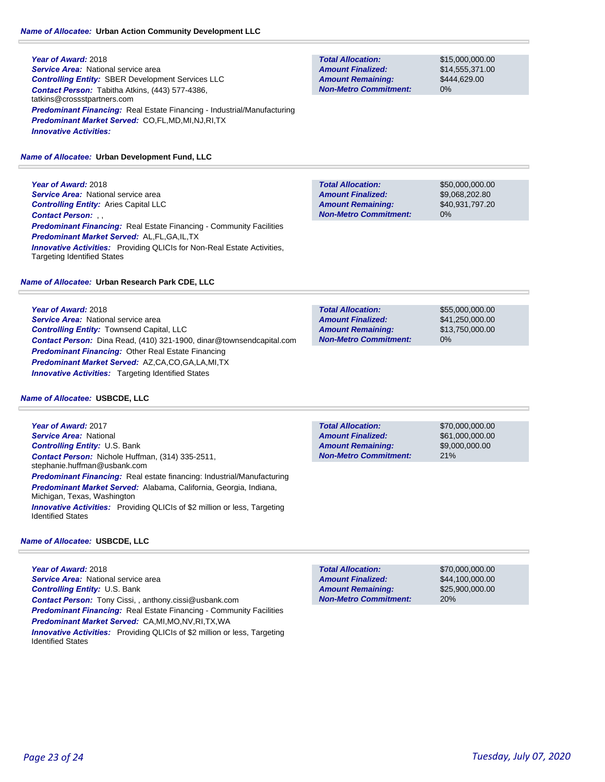**Year of Award:** 2018 **Service Area:** National service area *Controlling Entity:* SBER Development Services LLC *Contact Person:* Tabitha Atkins, (443) 577-4386, tatkins@crossstpartners.com *Predominant Financing:* Real Estate Financing - Industrial/Manufacturing *Predominant Market Served:* CO,FL,MD,MI,NJ,RI,TX *Innovative Activities:* 

#### *Name of Allocatee:* **Urban Development Fund, LLC**

**Year of Award:** 2018 *Service Area:* National service area *Controlling Entity:* Aries Capital LLC *Contact Person:* , , *Predominant Financing:* Real Estate Financing - Community Facilities *Predominant Market Served:* AL,FL,GA,IL,TX **Innovative Activities:** Providing QLICIs for Non-Real Estate Activities, Targeting Identified States

# *Name of Allocatee:* **Urban Research Park CDE, LLC**

**Year of Award:** 2018 **Service Area:** National service area *Controlling Entity:* Townsend Capital, LLC *Contact Person:* Dina Read, (410) 321-1900, dinar@townsendcapital.com *Predominant Financing:* Other Real Estate Financing *Predominant Market Served:* AZ,CA,CO,GA,LA,MI,TX *Innovative Activities:* Targeting Identified States

# *Name of Allocatee:* **USBCDE, LLC**

**Year of Award:** 2017 *Service Area:* National *Controlling Entity:* U.S. Bank *Contact Person:* Nichole Huffman, (314) 335-2511, stephanie.huffman@usbank.com *Predominant Financing:* Real estate financing: Industrial/Manufacturing *Predominant Market Served:* Alabama, California, Georgia, Indiana, Michigan, Texas, Washington *Innovative Activities:* Providing QLICIs of \$2 million or less, Targeting Identified States

# *Name of Allocatee:* **USBCDE, LLC**

**Year of Award:** 2018 **Service Area:** National service area *Controlling Entity:* U.S. Bank *Contact Person:* Tony Cissi, , anthony.cissi@usbank.com **Predominant Financing:** Real Estate Financing - Community Facilities *Predominant Market Served:* CA,MI,MO,NV,RI,TX,WA **Innovative Activities:** Providing QLICIs of \$2 million or less, Targeting Identified States

**Total Allocation: Non-Metro Commitment: Amount Remaining: Amount Finalized:**

\$15,000,000.00 \$14,555,371.00 \$444,629.00 0%

\$50,000,000.00 \$9,068,202.80 \$40,931,797.20 0% **Total Allocation: Non-Metro Commitment: Amount Remaining: Amount Finalized:**

**Total Allocation: Non-Metro Commitment: Amount Remaining: Amount Finalized:**

\$55,000,000.00 \$41,250,000.00 \$13,750,000.00 0%

**Total Allocation: Non-Metro Commitment: Amount Remaining: Amount Finalized:**

\$70,000,000.00 \$61,000,000.00 \$9,000,000.00 21%

**Total Allocation: Non-Metro Commitment: Amount Remaining: Amount Finalized:**

\$70,000,000.00 \$44,100,000.00 \$25,900,000.00 20%